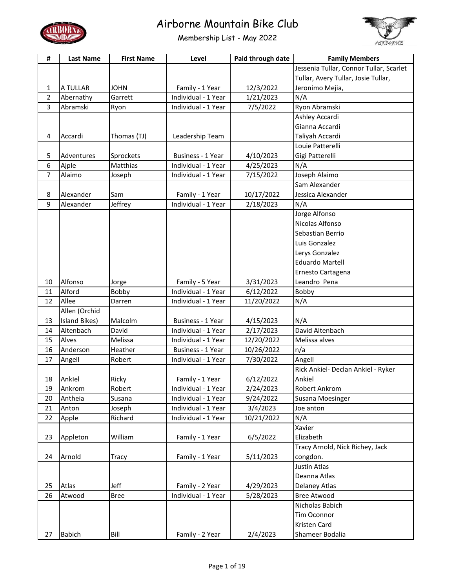



| #              | <b>Last Name</b> | <b>First Name</b> | Level               | Paid through date | <b>Family Members</b>                   |
|----------------|------------------|-------------------|---------------------|-------------------|-----------------------------------------|
|                |                  |                   |                     |                   | Jessenia Tullar, Connor Tullar, Scarlet |
|                |                  |                   |                     |                   | Tullar, Avery Tullar, Josie Tullar,     |
| 1              | A TULLAR         | <b>JOHN</b>       | Family - 1 Year     | 12/3/2022         | Jeronimo Mejia,                         |
| 2              | Abernathy        | Garrett           | Individual - 1 Year | 1/21/2023         | N/A                                     |
| 3              | Abramski         | Ryon              | Individual - 1 Year | 7/5/2022          | Ryon Abramski                           |
|                |                  |                   |                     |                   | Ashley Accardi                          |
|                |                  |                   |                     |                   | Gianna Accardi                          |
| 4              | Accardi          | Thomas (TJ)       | Leadership Team     |                   | Taliyah Accardi                         |
|                |                  |                   |                     |                   | Louie Patterelli                        |
| 5              | Adventures       | Sprockets         | Business - 1 Year   | 4/10/2023         | Gigi Patterelli                         |
| 6              | Ajple            | Matthias          | Individual - 1 Year | 4/25/2023         | N/A                                     |
| $\overline{7}$ | Alaimo           | Joseph            | Individual - 1 Year | 7/15/2022         | Joseph Alaimo                           |
|                |                  |                   |                     |                   | Sam Alexander                           |
| 8              | Alexander        | Sam               | Family - 1 Year     | 10/17/2022        | Jessica Alexander                       |
| 9              | Alexander        | Jeffrey           | Individual - 1 Year | 2/18/2023         | N/A                                     |
|                |                  |                   |                     |                   | Jorge Alfonso                           |
|                |                  |                   |                     |                   | Nicolas Alfonso                         |
|                |                  |                   |                     |                   | Sebastian Berrio                        |
|                |                  |                   |                     |                   | Luis Gonzalez                           |
|                |                  |                   |                     |                   | Lerys Gonzalez                          |
|                |                  |                   |                     |                   | <b>Eduardo Martell</b>                  |
|                |                  |                   |                     |                   | Ernesto Cartagena                       |
| 10             | Alfonso          | Jorge             | Family - 5 Year     | 3/31/2023         | Leandro Pena                            |
| 11             | Alford           | Bobby             | Individual - 1 Year | 6/12/2022         | Bobby                                   |
| 12             | Allee            | Darren            | Individual - 1 Year | 11/20/2022        | N/A                                     |
|                | Allen (Orchid    |                   |                     |                   |                                         |
| 13             | Island Bikes)    | Malcolm           | Business - 1 Year   | 4/15/2023         | N/A                                     |
| 14             | Altenbach        | David             | Individual - 1 Year | 2/17/2023         | David Altenbach                         |
| 15             | Alves            | Melissa           | Individual - 1 Year | 12/20/2022        | Melissa alves                           |
| 16             | Anderson         | Heather           | Business - 1 Year   | 10/26/2022        | n/a                                     |
| 17             | Angell           | Robert            | Individual - 1 Year | 7/30/2022         | Angell                                  |
|                |                  |                   |                     |                   | Rick Ankiel- Declan Ankiel - Ryker      |
| 18             | Anklel           | Ricky             | Family - 1 Year     | 6/12/2022         | Ankiel                                  |
| 19             | Ankrom           | Robert            | Individual - 1 Year | 2/24/2023         | Robert Ankrom                           |
| 20             | Antheia          | Susana            | Individual - 1 Year | 9/24/2022         | Susana Moesinger                        |
| 21             | Anton            | Joseph            | Individual - 1 Year | 3/4/2023          | Joe anton                               |
| 22             | Apple            | Richard           | Individual - 1 Year | 10/21/2022        | N/A                                     |
|                |                  |                   |                     |                   | Xavier                                  |
| 23             | Appleton         | William           | Family - 1 Year     | 6/5/2022          | Elizabeth                               |
|                |                  |                   |                     |                   | Tracy Arnold, Nick Richey, Jack         |
| 24             | Arnold           | <b>Tracy</b>      | Family - 1 Year     | 5/11/2023         | congdon.                                |
|                |                  |                   |                     |                   | <b>Justin Atlas</b>                     |
|                |                  |                   |                     |                   | Deanna Atlas                            |
| 25             | Atlas            | Jeff              | Family - 2 Year     | 4/29/2023         | Delaney Atlas                           |
| 26             | Atwood           | <b>Bree</b>       | Individual - 1 Year | 5/28/2023         | <b>Bree Atwood</b>                      |
|                |                  |                   |                     |                   | Nicholas Babich                         |
|                |                  |                   |                     |                   | Tim Oconnor                             |
|                |                  |                   |                     |                   | Kristen Card                            |
| 27             | <b>Babich</b>    | Bill              | Family - 2 Year     | 2/4/2023          | Shameer Bodalia                         |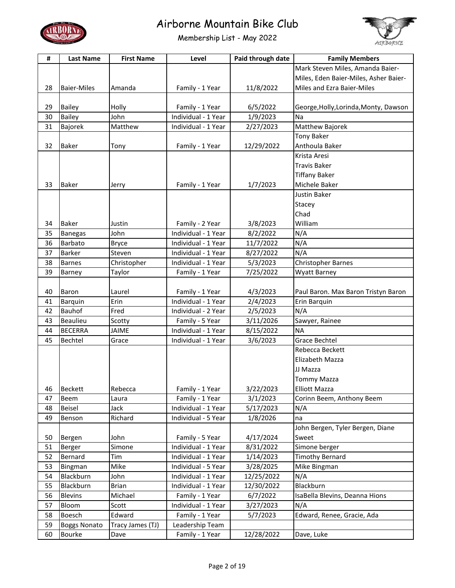



| #  | <b>Last Name</b>    | <b>First Name</b> | Level               | Paid through date | <b>Family Members</b>                 |
|----|---------------------|-------------------|---------------------|-------------------|---------------------------------------|
|    |                     |                   |                     |                   | Mark Steven Miles, Amanda Baier-      |
|    |                     |                   |                     |                   | Miles, Eden Baier-Miles, Asher Baier- |
| 28 | <b>Baier-Miles</b>  | Amanda            | Family - 1 Year     | 11/8/2022         | Miles and Ezra Baier-Miles            |
|    |                     |                   |                     |                   |                                       |
| 29 | <b>Bailey</b>       | Holly             | Family - 1 Year     | 6/5/2022          | George, Holly, Lorinda, Monty, Dawson |
| 30 | <b>Bailey</b>       | John              | Individual - 1 Year | 1/9/2023          | Na                                    |
| 31 | Bajorek             | Matthew           | Individual - 1 Year | 2/27/2023         | Matthew Bajorek                       |
|    |                     |                   |                     |                   | <b>Tony Baker</b>                     |
| 32 | <b>Baker</b>        | Tony              | Family - 1 Year     | 12/29/2022        | Anthoula Baker                        |
|    |                     |                   |                     |                   | Krista Aresi                          |
|    |                     |                   |                     |                   | <b>Travis Baker</b>                   |
|    |                     |                   |                     |                   | <b>Tiffany Baker</b>                  |
| 33 | <b>Baker</b>        | Jerry             | Family - 1 Year     | 1/7/2023          | Michele Baker                         |
|    |                     |                   |                     |                   | <b>Justin Baker</b>                   |
|    |                     |                   |                     |                   | Stacey                                |
|    |                     |                   |                     |                   | Chad                                  |
| 34 | <b>Baker</b>        | Justin            | Family - 2 Year     | 3/8/2023          | William                               |
| 35 | <b>Banegas</b>      | John              | Individual - 1 Year | 8/2/2022          | N/A                                   |
| 36 | <b>Barbato</b>      | <b>Bryce</b>      | Individual - 1 Year | 11/7/2022         | N/A                                   |
| 37 | <b>Barker</b>       | Steven            | Individual - 1 Year | 8/27/2022         | N/A                                   |
| 38 | <b>Barnes</b>       | Christopher       | Individual - 1 Year | 5/3/2023          | Christopher Barnes                    |
| 39 | Barney              | Taylor            | Family - 1 Year     | 7/25/2022         | Wyatt Barney                          |
|    |                     |                   |                     |                   |                                       |
| 40 | Baron               | Laurel            | Family - 1 Year     | 4/3/2023          | Paul Baron. Max Baron Tristyn Baron   |
| 41 | Barquin             | Erin              | Individual - 1 Year | 2/4/2023          | Erin Barquin                          |
| 42 | <b>Bauhof</b>       | Fred              | Individual - 2 Year | 2/5/2023          | N/A                                   |
| 43 | <b>Beaulieu</b>     | Scotty            | Family - 5 Year     | 3/11/2026         | Sawyer, Rainee                        |
| 44 | <b>BECERRA</b>      | <b>JAIME</b>      | Individual - 1 Year | 8/15/2022         | <b>NA</b>                             |
| 45 | Bechtel             | Grace             | Individual - 1 Year | 3/6/2023          | <b>Grace Bechtel</b>                  |
|    |                     |                   |                     |                   | Rebecca Beckett                       |
|    |                     |                   |                     |                   | Elizabeth Mazza                       |
|    |                     |                   |                     |                   | JJ Mazza                              |
|    |                     |                   |                     |                   | <b>Tommy Mazza</b>                    |
| 46 | <b>Beckett</b>      | Rebecca           | Family - 1 Year     | 3/22/2023         | <b>Elliott Mazza</b>                  |
| 47 | <b>Beem</b>         | Laura             | Family - 1 Year     | 3/1/2023          | Corinn Beem, Anthony Beem             |
| 48 | <b>Beisel</b>       | Jack              | Individual - 1 Year | 5/17/2023         | N/A                                   |
| 49 | Benson              | Richard           | Individual - 5 Year | 1/8/2026          | na                                    |
|    |                     |                   |                     |                   | John Bergen, Tyler Bergen, Diane      |
| 50 | Bergen              | John              | Family - 5 Year     | 4/17/2024         | Sweet                                 |
| 51 | <b>Berger</b>       | Simone            | Individual - 1 Year | 8/31/2022         | Simone berger                         |
| 52 | Bernard             | Tim               | Individual - 1 Year | 1/14/2023         | <b>Timothy Bernard</b>                |
| 53 | Bingman             | Mike              | Individual - 5 Year | 3/28/2025         | Mike Bingman                          |
| 54 | Blackburn           | John              | Individual - 1 Year | 12/25/2022        | N/A                                   |
| 55 | Blackburn           | <b>Brian</b>      | Individual - 1 Year | 12/30/2022        | Blackburn                             |
| 56 | <b>Blevins</b>      | Michael           | Family - 1 Year     | 6/7/2022          | IsaBella Blevins, Deanna Hions        |
| 57 | Bloom               | Scott             | Individual - 1 Year | 3/27/2023         | N/A                                   |
| 58 | <b>Boesch</b>       | Edward            | Family - 1 Year     | 5/7/2023          | Edward, Renee, Gracie, Ada            |
| 59 | <b>Boggs Nonato</b> | Tracy James (TJ)  | Leadership Team     |                   |                                       |
| 60 | Bourke              | Dave              | Family - 1 Year     | 12/28/2022        | Dave, Luke                            |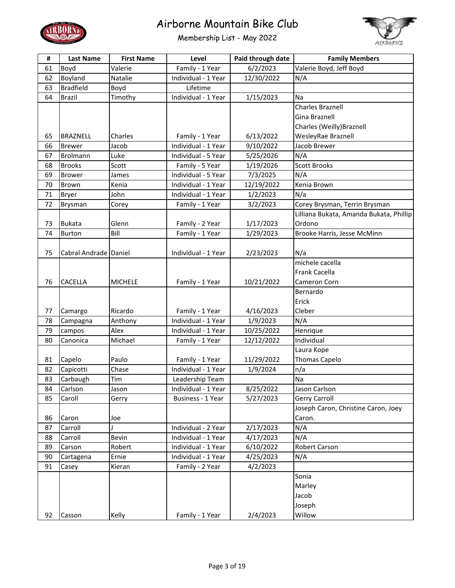



| #  | <b>Last Name</b>      | <b>First Name</b> | Level               | Paid through date | <b>Family Members</b>                   |
|----|-----------------------|-------------------|---------------------|-------------------|-----------------------------------------|
| 61 | Boyd                  | Valerie           | Family - 1 Year     | 6/2/2023          | Valerie Boyd, Jeff Boyd                 |
| 62 | Boyland               | Natalie           | Individual - 1 Year | 12/30/2022        | N/A                                     |
| 63 | <b>Bradfield</b>      | Boyd              | Lifetime            |                   |                                         |
| 64 | <b>Brazil</b>         | Timothy           | Individual - 1 Year | 1/15/2023         | Na                                      |
|    |                       |                   |                     |                   | <b>Charles Braznell</b>                 |
|    |                       |                   |                     |                   | Gina Braznell                           |
|    |                       |                   |                     |                   | Charles (Weilly) Braznell               |
| 65 | BRAZNELL              | Charles           | Family - 1 Year     | 6/13/2022         | WesleyRae Braznell                      |
| 66 | <b>Brewer</b>         | Jacob             | Individual - 1 Year | 9/10/2022         | Jacob Brewer                            |
| 67 | <b>Brolmann</b>       | Luke              | Individual - 5 Year | 5/25/2026         | N/A                                     |
| 68 | <b>Brooks</b>         | Scott             | Family - 5 Year     | 1/19/2026         | <b>Scott Brooks</b>                     |
| 69 | <b>Brower</b>         | James             | Individual - 5 Year | 7/3/2025          | N/A                                     |
| 70 | Brown                 | Kenia             | Individual - 1 Year | 12/19/2022        | Kenia Brown                             |
| 71 | <b>Bryer</b>          | John              | Individual - 1 Year | 1/2/2023          | N/a                                     |
| 72 | Brysman               | Corey             | Family - 1 Year     | 3/2/2023          | Corey Brysman, Terrin Brysman           |
|    |                       |                   |                     |                   | Lilliana Bukata, Amanda Bukata, Phillip |
| 73 | <b>Bukata</b>         | Glenn             | Family - 2 Year     | 1/17/2023         | Ordono                                  |
| 74 | <b>Burton</b>         | Bill              | Family - 1 Year     | 1/29/2023         | Brooke Harris, Jesse McMinn             |
|    |                       |                   |                     |                   |                                         |
| 75 | Cabral Andrade Daniel |                   | Individual - 1 Year | 2/23/2023         | N/a                                     |
|    |                       |                   |                     |                   | michele cacella                         |
|    |                       |                   |                     |                   | <b>Frank Cacella</b>                    |
| 76 | CACELLA               | <b>MICHELE</b>    | Family - 1 Year     | 10/21/2022        | Cameron Corn                            |
|    |                       |                   |                     |                   | Bernardo                                |
|    |                       |                   |                     |                   | Erick                                   |
| 77 | Camargo               | Ricardo           | Family - 1 Year     | 4/16/2023         | Cleber                                  |
| 78 | Campagna              | Anthony           | Individual - 1 Year | 1/9/2023          | N/A                                     |
| 79 | campos                | Alex              | Individual - 1 Year | 10/25/2022        | Henrique                                |
| 80 | Canonica              | Michael           | Family - 1 Year     | 12/12/2022        | Individual                              |
|    |                       |                   |                     |                   | Laura Kope                              |
| 81 | Capelo                | Paulo             | Family - 1 Year     | 11/29/2022        | <b>Thomas Capelo</b>                    |
| 82 | Capicotti             | Chase             | Individual - 1 Year | 1/9/2024          | n/a                                     |
| 83 | Carbaugh              | Tim               | Leadership Team     |                   | Na                                      |
| 84 | Carlson               | Jason             | Individual - 1 Year | 8/25/2022         | Jason Carlson                           |
| 85 | Caroll                | Gerry             | Business - 1 Year   | 5/27/2023         | Gerry Carroll                           |
|    |                       |                   |                     |                   | Joseph Caron, Christine Caron, Joey     |
| 86 | Caron                 | Joe               |                     |                   | Caron.                                  |
| 87 | Carroll               |                   | Individual - 2 Year | 2/17/2023         | N/A                                     |
| 88 | Carroll               | Bevin             | Individual - 1 Year | 4/17/2023         | N/A                                     |
| 89 | Carson                | Robert            | Individual - 1 Year | 6/10/2022         | <b>Robert Carson</b>                    |
| 90 | Cartagena             | Ernie             | Individual - 1 Year | 4/25/2023         | N/A                                     |
| 91 | Casey                 | Kieran            | Family - 2 Year     | 4/2/2023          |                                         |
|    |                       |                   |                     |                   | Sonia                                   |
|    |                       |                   |                     |                   | Marley                                  |
|    |                       |                   |                     |                   | Jacob                                   |
|    |                       |                   |                     |                   | Joseph                                  |
| 92 | Casson                | Kelly             | Family - 1 Year     | 2/4/2023          | Willow                                  |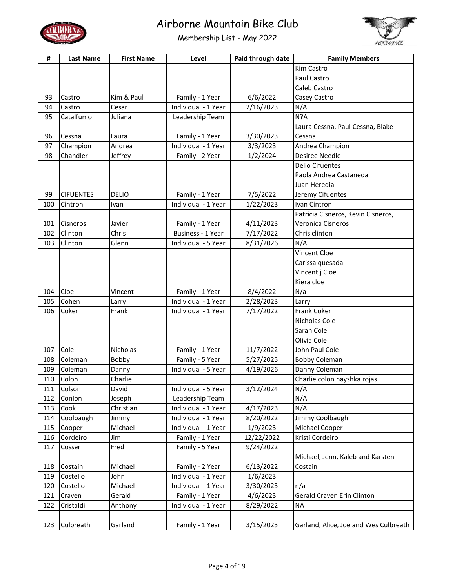



| #   | <b>Last Name</b> | <b>First Name</b> | Level               | Paid through date     | <b>Family Members</b>                 |
|-----|------------------|-------------------|---------------------|-----------------------|---------------------------------------|
|     |                  |                   |                     |                       | Kim Castro                            |
|     |                  |                   |                     |                       | Paul Castro                           |
|     |                  |                   |                     |                       | Caleb Castro                          |
| 93  | Castro           | Kim & Paul        | Family - 1 Year     | 6/6/2022              | Casey Castro                          |
| 94  | Castro           | Cesar             | Individual - 1 Year | 2/16/2023             | N/A                                   |
| 95  | Catalfumo        | Juliana           | Leadership Team     |                       | N?A                                   |
|     |                  |                   |                     |                       | Laura Cessna, Paul Cessna, Blake      |
| 96  | Cessna           | Laura             | Family - 1 Year     | 3/30/2023             | Cessna                                |
| 97  | Champion         | Andrea            | Individual - 1 Year | 3/3/2023              | Andrea Champion                       |
| 98  | Chandler         | Jeffrey           | Family - 2 Year     | 1/2/2024              | <b>Desiree Needle</b>                 |
|     |                  |                   |                     |                       | <b>Delio Cifuentes</b>                |
|     |                  |                   |                     |                       | Paola Andrea Castaneda                |
|     |                  |                   |                     |                       | Juan Heredia                          |
| 99  | <b>CIFUENTES</b> | DELIO             | Family - 1 Year     | 7/5/2022              | Jeremy Cifuentes                      |
| 100 | Cintron          | Ivan              | Individual - 1 Year | 1/22/2023             | Ivan Cintron                          |
|     |                  |                   |                     |                       | Patricia Cisneros, Kevin Cisneros,    |
| 101 | Cisneros         | Javier            | Family - 1 Year     | 4/11/2023             | Veronica Cisneros                     |
| 102 | Clinton          | Chris             | Business - 1 Year   | 7/17/2022             | Chris clinton                         |
| 103 | Clinton          | Glenn             | Individual - 5 Year | 8/31/2026             | N/A                                   |
|     |                  |                   |                     |                       | Vincent Cloe                          |
|     |                  |                   |                     |                       | Carissa quesada                       |
|     |                  |                   |                     |                       | Vincent j Cloe                        |
|     |                  |                   |                     |                       | Kiera cloe                            |
| 104 | Cloe             | Vincent           | Family - 1 Year     | 8/4/2022              | N/a                                   |
| 105 | Cohen            | Larry             | Individual - 1 Year | 2/28/2023             | Larry                                 |
| 106 | Coker            | Frank             | Individual - 1 Year | 7/17/2022             | <b>Frank Coker</b>                    |
|     |                  |                   |                     |                       | Nicholas Cole                         |
|     |                  |                   |                     |                       | Sarah Cole                            |
|     |                  |                   |                     |                       | Olivia Cole                           |
| 107 | Cole             | Nicholas          | Family - 1 Year     | 11/7/2022             | John Paul Cole                        |
| 108 | Coleman          | Bobby             | Family - 5 Year     | 5/27/2025             | <b>Bobby Coleman</b>                  |
| 109 | Coleman          | Danny             | Individual - 5 Year | 4/19/2026             | Danny Coleman                         |
| 110 | Colon            | Charlie           |                     |                       | Charlie colon nayshka rojas           |
| 111 | <b>Colson</b>    | David             | Individual - 5 Year | $\frac{1}{3/12/2024}$ | N/A                                   |
| 112 | Conlon           | Joseph            | Leadership Team     |                       | N/A                                   |
| 113 | Cook             | Christian         | Individual - 1 Year | 4/17/2023             | N/A                                   |
| 114 | Coolbaugh        | Jimmy             | Individual - 1 Year | 8/20/2022             | Jimmy Coolbaugh                       |
| 115 | Cooper           | Michael           | Individual - 1 Year | 1/9/2023              | Michael Cooper                        |
| 116 | Cordeiro         | Jim               | Family - 1 Year     | 12/22/2022            | Kristi Cordeiro                       |
| 117 | Cosser           | Fred              | Family - 5 Year     | 9/24/2022             |                                       |
|     |                  |                   |                     |                       | Michael, Jenn, Kaleb and Karsten      |
| 118 | Costain          | Michael           | Family - 2 Year     | 6/13/2022             | Costain                               |
| 119 | Costello         | John              | Individual - 1 Year | 1/6/2023              |                                       |
| 120 | Costello         | Michael           | Individual - 1 Year | 3/30/2023             | n/a                                   |
| 121 | Craven           | Gerald            | Family - 1 Year     | 4/6/2023              | Gerald Craven Erin Clinton            |
| 122 | Cristaldi        | Anthony           | Individual - 1 Year | 8/29/2022             | <b>NA</b>                             |
|     |                  |                   |                     |                       |                                       |
| 123 | Culbreath        | Garland           | Family - 1 Year     | 3/15/2023             | Garland, Alice, Joe and Wes Culbreath |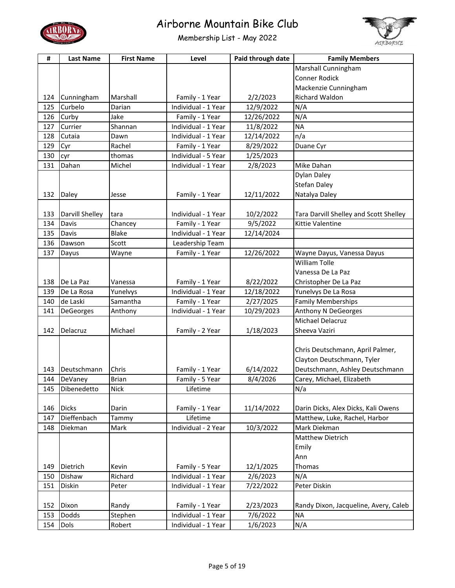



| #   | <b>Last Name</b> | <b>First Name</b> | Level               | Paid through date | <b>Family Members</b>                  |
|-----|------------------|-------------------|---------------------|-------------------|----------------------------------------|
|     |                  |                   |                     |                   | Marshall Cunningham                    |
|     |                  |                   |                     |                   | Conner Rodick                          |
|     |                  |                   |                     |                   | Mackenzie Cunningham                   |
| 124 | Cunningham       | Marshall          | Family - 1 Year     | 2/2/2023          | <b>Richard Waldon</b>                  |
| 125 | Curbelo          | Darian            | Individual - 1 Year | 12/9/2022         | N/A                                    |
| 126 | Curby            | Jake              | Family - 1 Year     | 12/26/2022        | N/A                                    |
| 127 | Currier          | Shannan           | Individual - 1 Year | 11/8/2022         | <b>NA</b>                              |
| 128 | Cutaia           | Dawn              | Individual - 1 Year | 12/14/2022        | n/a                                    |
| 129 | Cyr              | Rachel            | Family - 1 Year     | 8/29/2022         | Duane Cyr                              |
| 130 | cyr              | thomas            | Individual - 5 Year | 1/25/2023         |                                        |
| 131 | Dahan            | Michel            | Individual - 1 Year | 2/8/2023          | Mike Dahan                             |
|     |                  |                   |                     |                   | Dylan Daley                            |
|     |                  |                   |                     |                   | <b>Stefan Daley</b>                    |
| 132 | Daley            | Jesse             | Family - 1 Year     | 12/11/2022        | Natalya Daley                          |
|     |                  |                   |                     |                   |                                        |
| 133 | Darvill Shelley  | tara              | Individual - 1 Year | 10/2/2022         | Tara Darvill Shelley and Scott Shelley |
| 134 | Davis            | Chancey           | Family - 1 Year     | 9/5/2022          | Kittie Valentine                       |
| 135 | Davis            | <b>Blake</b>      | Individual - 1 Year | 12/14/2024        |                                        |
| 136 | Dawson           | Scott             | Leadership Team     |                   |                                        |
| 137 | Dayus            | Wayne             | Family - 1 Year     | 12/26/2022        | Wayne Dayus, Vanessa Dayus             |
|     |                  |                   |                     |                   | <b>William Tolle</b>                   |
|     |                  |                   |                     |                   | Vanessa De La Paz                      |
| 138 | De La Paz        | Vanessa           | Family - 1 Year     | 8/22/2022         | Christopher De La Paz                  |
| 139 | De La Rosa       | Yunelvys          | Individual - 1 Year | 12/18/2022        | Yunelvys De La Rosa                    |
| 140 | de Laski         | Samantha          | Family - 1 Year     | 2/27/2025         | <b>Family Memberships</b>              |
| 141 | DeGeorges        | Anthony           | Individual - 1 Year | 10/29/2023        | Anthony N DeGeorges                    |
|     |                  |                   |                     |                   | Michael Delacruz                       |
| 142 | Delacruz         | Michael           | Family - 2 Year     | 1/18/2023         | Sheeva Vaziri                          |
|     |                  |                   |                     |                   |                                        |
|     |                  |                   |                     |                   | Chris Deutschmann, April Palmer,       |
|     |                  |                   |                     |                   | Clayton Deutschmann, Tyler             |
| 143 | Deutschmann      | Chris             | Family - 1 Year     | 6/14/2022         | Deutschmann, Ashley Deutschmann        |
| 144 | DeVaney          | Brian             | Family - 5 Year     | 8/4/2026          | Carey, Michael, Elizabeth              |
| 145 | Dibenedetto      | <b>Nick</b>       | Lifetime            |                   | N/a                                    |
|     |                  |                   |                     |                   |                                        |
| 146 | <b>Dicks</b>     | Darin             | Family - 1 Year     | 11/14/2022        | Darin Dicks, Alex Dicks, Kali Owens    |
| 147 | Dieffenbach      | Tammy             | Lifetime            |                   | Matthew, Luke, Rachel, Harbor          |
| 148 | Diekman          | Mark              | Individual - 2 Year | 10/3/2022         | Mark Diekman                           |
|     |                  |                   |                     |                   | Matthew Dietrich                       |
|     |                  |                   |                     |                   | Emily                                  |
|     |                  |                   |                     |                   | Ann                                    |
| 149 | Dietrich         | Kevin             | Family - 5 Year     | 12/1/2025         | Thomas                                 |
| 150 | Dishaw           | Richard           | Individual - 1 Year | 2/6/2023          | N/A                                    |
| 151 | Diskin           | Peter             | Individual - 1 Year | 7/22/2022         | Peter Diskin                           |
|     |                  |                   |                     |                   |                                        |
| 152 | Dixon            | Randy             | Family - 1 Year     | 2/23/2023         | Randy Dixon, Jacqueline, Avery, Caleb  |
| 153 | Dodds            | Stephen           | Individual - 1 Year | 7/6/2022          | <b>NA</b>                              |
| 154 | Dols             | Robert            | Individual - 1 Year | 1/6/2023          | N/A                                    |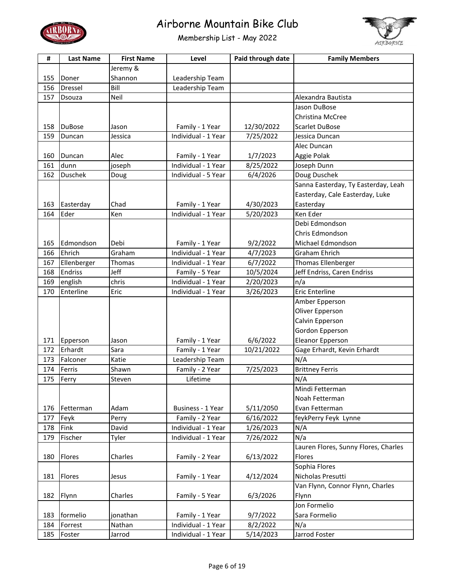



| #   | <b>Last Name</b> | <b>First Name</b> | Level               | Paid through date | <b>Family Members</b>                |
|-----|------------------|-------------------|---------------------|-------------------|--------------------------------------|
|     |                  | Jeremy &          |                     |                   |                                      |
| 155 | Doner            | Shannon           | Leadership Team     |                   |                                      |
| 156 | Dressel          | Bill              | Leadership Team     |                   |                                      |
| 157 | Dsouza           | Neil              |                     |                   | Alexandra Bautista                   |
|     |                  |                   |                     |                   | Jason DuBose                         |
|     |                  |                   |                     |                   | Christina McCree                     |
| 158 | <b>DuBose</b>    | Jason             | Family - 1 Year     | 12/30/2022        | <b>Scarlet DuBose</b>                |
| 159 | Duncan           | Jessica           | Individual - 1 Year | 7/25/2022         | Jessica Duncan                       |
|     |                  |                   |                     |                   | Alec Duncan                          |
| 160 | Duncan           | Alec              | Family - 1 Year     | 1/7/2023          | Aggie Polak                          |
| 161 | dunn             | joseph            | Individual - 1 Year | 8/25/2022         | Joseph Dunn                          |
| 162 | <b>Duschek</b>   | Doug              | Individual - 5 Year | 6/4/2026          | Doug Duschek                         |
|     |                  |                   |                     |                   | Sanna Easterday, Ty Easterday, Leah  |
|     |                  |                   |                     |                   | Easterday, Cale Easterday, Luke      |
| 163 | Easterday        | Chad              | Family - 1 Year     | 4/30/2023         | Easterday                            |
| 164 | Eder             | Ken               | Individual - 1 Year | 5/20/2023         | Ken Eder                             |
|     |                  |                   |                     |                   | Debi Edmondson                       |
|     |                  |                   |                     |                   | Chris Edmondson                      |
| 165 | Edmondson        | Debi              | Family - 1 Year     | 9/2/2022          | Michael Edmondson                    |
| 166 | Ehrich           | Graham            | Individual - 1 Year | 4/7/2023          | <b>Graham Ehrich</b>                 |
| 167 | Ellenberger      | Thomas            | Individual - 1 Year | 6/7/2022          | Thomas Ellenberger                   |
| 168 | <b>Endriss</b>   | Jeff              | Family - 5 Year     | 10/5/2024         | Jeff Endriss, Caren Endriss          |
| 169 | english          | chris             | Individual - 1 Year | 2/20/2023         | n/a                                  |
| 170 | Enterline        | Eric              | Individual - 1 Year | 3/26/2023         | <b>Eric Enterline</b>                |
|     |                  |                   |                     |                   | Amber Epperson                       |
|     |                  |                   |                     |                   | Oliver Epperson                      |
|     |                  |                   |                     |                   | Calvin Epperson                      |
|     |                  |                   |                     |                   | Gordon Epperson                      |
| 171 | Epperson         | Jason             | Family - 1 Year     | 6/6/2022          | <b>Eleanor Epperson</b>              |
| 172 | Erhardt          | Sara              | Family - 1 Year     | 10/21/2022        | Gage Erhardt, Kevin Erhardt          |
| 173 | Falconer         | Katie             | Leadership Team     |                   | N/A                                  |
| 174 | Ferris           | Shawn             | Family - 2 Year     | 7/25/2023         | <b>Brittney Ferris</b>               |
| 175 | Ferry            | Steven            | Lifetime            |                   | N/A                                  |
|     |                  |                   |                     |                   | Mindi Fetterman                      |
|     |                  |                   |                     |                   | Noah Fetterman                       |
| 176 | Fetterman        | Adam              | Business - 1 Year   | 5/11/2050         | Evan Fetterman                       |
| 177 | Feyk             | Perry             | Family - 2 Year     | 6/16/2022         | feykPerry Feyk Lynne                 |
| 178 | Fink             | David             | Individual - 1 Year | 1/26/2023         | N/A                                  |
| 179 | Fischer          | Tyler             | Individual - 1 Year | 7/26/2022         | N/a                                  |
|     |                  |                   |                     |                   | Lauren Flores, Sunny Flores, Charles |
| 180 | Flores           | Charles           | Family - 2 Year     | 6/13/2022         | Flores                               |
|     |                  |                   |                     |                   | Sophia Flores                        |
| 181 | <b>Flores</b>    | Jesus             | Family - 1 Year     | 4/12/2024         | Nicholas Presutti                    |
|     |                  |                   |                     |                   | Van Flynn, Connor Flynn, Charles     |
| 182 | Flynn            | Charles           | Family - 5 Year     | 6/3/2026          | Flynn                                |
|     |                  |                   |                     |                   | Jon Formelio                         |
| 183 | formelio         | jonathan          | Family - 1 Year     | 9/7/2022          | Sara Formelio                        |
| 184 | Forrest          | Nathan            | Individual - 1 Year | 8/2/2022          | N/a                                  |
| 185 | Foster           | Jarrod            | Individual - 1 Year | 5/14/2023         | Jarrod Foster                        |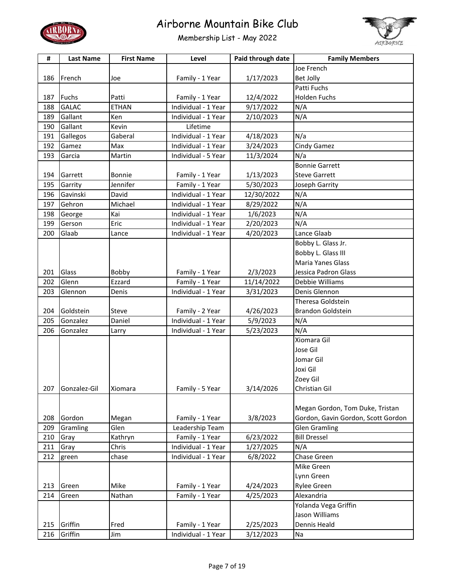



| #   | <b>Last Name</b> | <b>First Name</b> | Level               | Paid through date | <b>Family Members</b>              |
|-----|------------------|-------------------|---------------------|-------------------|------------------------------------|
|     |                  |                   |                     |                   | Joe French                         |
| 186 | French           | Joe               | Family - 1 Year     | 1/17/2023         | Bet Jolly                          |
|     |                  |                   |                     |                   | Patti Fuchs                        |
| 187 | <b>Fuchs</b>     | Patti             | Family - 1 Year     | 12/4/2022         | <b>Holden Fuchs</b>                |
| 188 | <b>GALAC</b>     | <b>ETHAN</b>      | Individual - 1 Year | 9/17/2022         | N/A                                |
| 189 | Gallant          | Ken               | Individual - 1 Year | 2/10/2023         | N/A                                |
| 190 | Gallant          | Kevin             | Lifetime            |                   |                                    |
| 191 | Gallegos         | Gaberal           | Individual - 1 Year | 4/18/2023         | N/a                                |
| 192 | Gamez            | Max               | Individual - 1 Year | 3/24/2023         | Cindy Gamez                        |
| 193 | Garcia           | Martin            | Individual - 5 Year | 11/3/2024         | N/a                                |
|     |                  |                   |                     |                   | <b>Bonnie Garrett</b>              |
| 194 | Garrett          | Bonnie            | Family - 1 Year     | 1/13/2023         | <b>Steve Garrett</b>               |
| 195 | Garrity          | Jennifer          | Family - 1 Year     | 5/30/2023         | Joseph Garrity                     |
| 196 | Gavinski         | David             | Individual - 1 Year | 12/30/2022        | N/A                                |
| 197 | Gehron           | Michael           | Individual - 1 Year | 8/29/2022         | N/A                                |
| 198 | George           | Kai               | Individual - 1 Year | 1/6/2023          | N/A                                |
| 199 | Gerson           | Eric              | Individual - 1 Year | 2/20/2023         | N/A                                |
| 200 | Glaab            | Lance             | Individual - 1 Year | 4/20/2023         | Lance Glaab                        |
|     |                  |                   |                     |                   | Bobby L. Glass Jr.                 |
|     |                  |                   |                     |                   | Bobby L. Glass III                 |
|     |                  |                   |                     |                   | <b>Maria Yanes Glass</b>           |
| 201 | Glass            | Bobby             | Family - 1 Year     | 2/3/2023          | Jessica Padron Glass               |
| 202 | Glenn            | Ezzard            | Family - 1 Year     | 11/14/2022        | Debbie Williams                    |
| 203 | Glennon          | Denis             | Individual - 1 Year | 3/31/2023         | Denis Glennon                      |
|     |                  |                   |                     |                   | Theresa Goldstein                  |
| 204 | Goldstein        | Steve             | Family - 2 Year     | 4/26/2023         | <b>Brandon Goldstein</b>           |
| 205 | Gonzalez         | Daniel            | Individual - 1 Year | 5/9/2023          | N/A                                |
| 206 | Gonzalez         | Larry             | Individual - 1 Year | 5/23/2023         | N/A                                |
|     |                  |                   |                     |                   | Xiomara Gil                        |
|     |                  |                   |                     |                   | Jose Gil                           |
|     |                  |                   |                     |                   | Jomar Gil                          |
|     |                  |                   |                     |                   | Joxi Gil                           |
|     |                  |                   |                     |                   | Zoey Gil                           |
| 207 | Gonzalez-Gil     | Xiomara           | Family - 5 Year     | 3/14/2026         | Christian Gil                      |
|     |                  |                   |                     |                   |                                    |
|     |                  |                   |                     |                   | Megan Gordon, Tom Duke, Tristan    |
| 208 | Gordon           | Megan             | Family - 1 Year     | 3/8/2023          | Gordon, Gavin Gordon, Scott Gordon |
| 209 | Gramling         | Glen              | Leadership Team     |                   | <b>Glen Gramling</b>               |
| 210 | Gray             | Kathryn           | Family - 1 Year     | 6/23/2022         | <b>Bill Dressel</b>                |
| 211 | Gray             | Chris             | Individual - 1 Year | 1/27/2025         | N/A                                |
| 212 | green            | chase             | Individual - 1 Year | 6/8/2022          | Chase Green                        |
|     |                  |                   |                     |                   | Mike Green                         |
|     |                  |                   |                     |                   | Lynn Green                         |
| 213 | Green            | Mike              | Family - 1 Year     | 4/24/2023         | Rylee Green                        |
| 214 | Green            | Nathan            | Family - 1 Year     | 4/25/2023         | Alexandria                         |
|     |                  |                   |                     |                   | Yolanda Vega Griffin               |
|     |                  |                   |                     |                   | Jason Williams                     |
| 215 | Griffin          | Fred              | Family - 1 Year     | 2/25/2023         | Dennis Heald                       |
| 216 | Griffin          | Jim               | Individual - 1 Year | 3/12/2023         | Na                                 |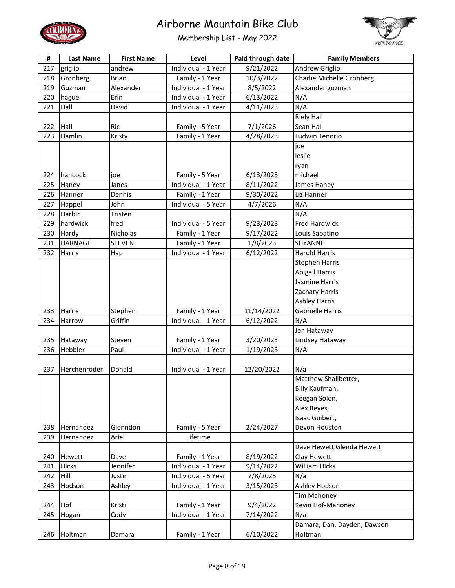



| #   | <b>Last Name</b> | <b>First Name</b> | Level               | Paid through date | <b>Family Members</b>       |
|-----|------------------|-------------------|---------------------|-------------------|-----------------------------|
| 217 | griglio          | andrew            | Individual - 1 Year | 9/21/2022         | Andrew Griglio              |
| 218 | Gronberg         | <b>Brian</b>      | Family - 1 Year     | 10/3/2022         | Charlie Michelle Gronberg   |
| 219 | Guzman           | Alexander         | Individual - 1 Year | 8/5/2022          | Alexander guzman            |
| 220 | hague            | Erin              | Individual - 1 Year | 6/13/2022         | N/A                         |
| 221 | Hall             | David             | Individual - 1 Year | 4/11/2023         | N/A                         |
|     |                  |                   |                     |                   | <b>Riely Hall</b>           |
| 222 | Hall             | Ric               | Family - 5 Year     | 7/1/2026          | Sean Hall                   |
| 223 | Hamlin           | Kristy            | Family - 1 Year     | 4/28/2023         | Ludwin Tenorio              |
|     |                  |                   |                     |                   | joe                         |
|     |                  |                   |                     |                   | leslie                      |
|     |                  |                   |                     |                   | ryan                        |
| 224 | hancock          | ioe               | Family - 5 Year     | 6/13/2025         | michael                     |
| 225 | Haney            | Janes             | Individual - 1 Year | 8/11/2022         | James Haney                 |
| 226 | Hanner           | Dennis            | Family - 1 Year     | 9/30/2022         | Liz Hanner                  |
| 227 | Happel           | John              | Individual - 5 Year | 4/7/2026          | N/A                         |
| 228 | Harbin           | Tristen           |                     |                   | N/A                         |
| 229 | hardwick         | fred              | Individual - 5 Year | 9/23/2023         | <b>Fred Hardwick</b>        |
| 230 | Hardy            | Nicholas          | Family - 1 Year     | 9/17/2022         | Louis Sabatino              |
| 231 | <b>HARNAGE</b>   | <b>STEVEN</b>     | Family - 1 Year     | 1/8/2023          | SHYANNE                     |
| 232 | Harris           | Hap               | Individual - 1 Year | 6/12/2022         | <b>Harold Harris</b>        |
|     |                  |                   |                     |                   | <b>Stephen Harris</b>       |
|     |                  |                   |                     |                   | Abigail Harris              |
|     |                  |                   |                     |                   | Jasmine Harris              |
|     |                  |                   |                     |                   | Zachary Harris              |
|     |                  |                   |                     |                   | <b>Ashley Harris</b>        |
| 233 | <b>Harris</b>    | Stephen           | Family - 1 Year     | 11/14/2022        | Gabrielle Harris            |
| 234 | Harrow           | Griffin           | Individual - 1 Year | 6/12/2022         | N/A                         |
|     |                  |                   |                     |                   | Jen Hataway                 |
| 235 | Hataway          | Steven            | Family - 1 Year     | 3/20/2023         | Lindsey Hataway             |
| 236 | Hebbler          | Paul              | Individual - 1 Year | 1/19/2023         | N/A                         |
|     |                  |                   |                     |                   |                             |
| 237 | Herchenroder     | Donald            | Individual - 1 Year | 12/20/2022        | N/a                         |
|     |                  |                   |                     |                   | Matthew Shallbetter,        |
|     |                  |                   |                     |                   | Billy Kaufman,              |
|     |                  |                   |                     |                   | Keegan Solon,               |
|     |                  |                   |                     |                   | Alex Reyes,                 |
|     |                  |                   |                     |                   | Isaac Guibert,              |
| 238 | Hernandez        | Glenndon          | Family - 5 Year     | 2/24/2027         | Devon Houston               |
| 239 | Hernandez        | Ariel             | Lifetime            |                   |                             |
|     |                  |                   |                     |                   | Dave Hewett Glenda Hewett   |
| 240 | Hewett           | Dave              | Family - 1 Year     | 8/19/2022         | Clay Hewett                 |
| 241 | <b>Hicks</b>     | Jennifer          | Individual - 1 Year | 9/14/2022         | William Hicks               |
| 242 | Hill             | Justin            | Individual - 5 Year | 7/8/2025          | N/a                         |
| 243 | Hodson           | Ashley            | Individual - 1 Year | 3/15/2023         | Ashley Hodson               |
|     |                  |                   |                     |                   | <b>Tim Mahoney</b>          |
| 244 | Hof              | Kristi            | Family - 1 Year     | 9/4/2022          | Kevin Hof-Mahoney           |
| 245 | Hogan            | Cody              | Individual - 1 Year | 7/14/2022         | N/a                         |
|     |                  |                   |                     |                   | Damara, Dan, Dayden, Dawson |
| 246 | Holtman          | Damara            | Family - 1 Year     | 6/10/2022         | Holtman                     |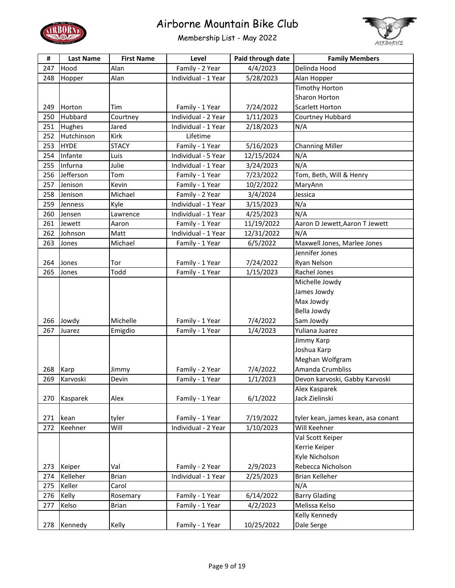



| #   | <b>Last Name</b> | <b>First Name</b> | Level               | Paid through date | <b>Family Members</b>              |
|-----|------------------|-------------------|---------------------|-------------------|------------------------------------|
| 247 | Hood             | Alan              | Family - 2 Year     | 4/4/2023          | Delinda Hood                       |
| 248 | Hopper           | Alan              | Individual - 1 Year | 5/28/2023         | Alan Hopper                        |
|     |                  |                   |                     |                   | <b>Timothy Horton</b>              |
|     |                  |                   |                     |                   | Sharon Horton                      |
| 249 | Horton           | Tim               | Family - 1 Year     | 7/24/2022         | <b>Scarlett Horton</b>             |
| 250 | Hubbard          | Courtney          | Individual - 2 Year | 1/11/2023         | Courtney Hubbard                   |
| 251 | Hughes           | Jared             | Individual - 1 Year | 2/18/2023         | N/A                                |
| 252 | Hutchinson       | Kirk              | Lifetime            |                   |                                    |
| 253 | <b>HYDE</b>      | <b>STACY</b>      | Family - 1 Year     | 5/16/2023         | <b>Channing Miller</b>             |
| 254 | Infante          | Luis              | Individual - 5 Year | 12/15/2024        | N/A                                |
| 255 | Infurna          | Julie             | Individual - 1 Year | 3/24/2023         | N/A                                |
| 256 | Jefferson        | Tom               | Family - 1 Year     | 7/23/2022         | Tom, Beth, Will & Henry            |
| 257 | Jenison          | Kevin             | Family - 1 Year     | 10/2/2022         | MaryAnn                            |
| 258 | Jenison          | Michael           | Family - 2 Year     | 3/4/2024          | Jessica                            |
| 259 | Jenness          | Kyle              | Individual - 1 Year | 3/15/2023         | N/a                                |
| 260 | Jensen           | Lawrence          | Individual - 1 Year | 4/25/2023         | N/A                                |
| 261 | Jewett           | Aaron             | Family - 1 Year     | 11/19/2022        | Aaron D Jewett, Aaron T Jewett     |
| 262 | Johnson          | Matt              | Individual - 1 Year | 12/31/2022        | N/A                                |
| 263 | Jones            | Michael           | Family - 1 Year     | 6/5/2022          | Maxwell Jones, Marlee Jones        |
|     |                  |                   |                     |                   | Jennifer Jones                     |
| 264 | Jones            | Tor               | Family - 1 Year     | 7/24/2022         | Ryan Nelson                        |
| 265 | Jones            | Todd              | Family - 1 Year     | 1/15/2023         | Rachel Jones                       |
|     |                  |                   |                     |                   | Michelle Jowdy                     |
|     |                  |                   |                     |                   | James Jowdy                        |
|     |                  |                   |                     |                   | Max Jowdy                          |
|     |                  |                   |                     |                   | Bella Jowdy                        |
| 266 | Jowdy            | Michelle          | Family - 1 Year     | 7/4/2022          | Sam Jowdy                          |
| 267 | Juarez           | Emigdio           | Family - 1 Year     | 1/4/2023          | Yuliana Juarez                     |
|     |                  |                   |                     |                   | Jimmy Karp                         |
|     |                  |                   |                     |                   | Joshua Karp                        |
|     |                  |                   |                     |                   | Meghan Wolfgram                    |
| 268 | Karp             | Jimmy             | Family - 2 Year     | 7/4/2022          | Amanda Crumbliss                   |
| 269 | Karvoski         | Devin             | Family - 1 Year     | 1/1/2023          | Devon karvoski, Gabby Karvoski     |
|     |                  |                   |                     |                   | Alex Kasparek                      |
| 270 | Kasparek         | Alex              | Family - 1 Year     | 6/1/2022          | Jack Zielinski                     |
|     |                  |                   |                     |                   |                                    |
| 271 | kean             | tyler             | Family - 1 Year     | 7/19/2022         | tyler kean, james kean, asa conant |
| 272 | Keehner          | Will              | Individual - 2 Year | 1/10/2023         | Will Keehner                       |
|     |                  |                   |                     |                   | Val Scott Keiper                   |
|     |                  |                   |                     |                   | Kerrie Keiper                      |
|     |                  |                   |                     |                   | Kyle Nicholson                     |
| 273 | Keiper           | Val               | Family - 2 Year     | 2/9/2023          | Rebecca Nicholson                  |
| 274 | Kelleher         | <b>Brian</b>      | Individual - 1 Year | 2/25/2023         | <b>Brian Kelleher</b>              |
| 275 | Keller           | Carol             |                     |                   | N/A                                |
| 276 | Kelly            | Rosemary          | Family - 1 Year     | 6/14/2022         | <b>Barry Glading</b>               |
| 277 | Kelso            | <b>Brian</b>      | Family - 1 Year     | 4/2/2023          | Melissa Kelso                      |
|     |                  |                   |                     |                   | Kelly Kennedy                      |
| 278 | Kennedy          | Kelly             | Family - 1 Year     | 10/25/2022        | Dale Serge                         |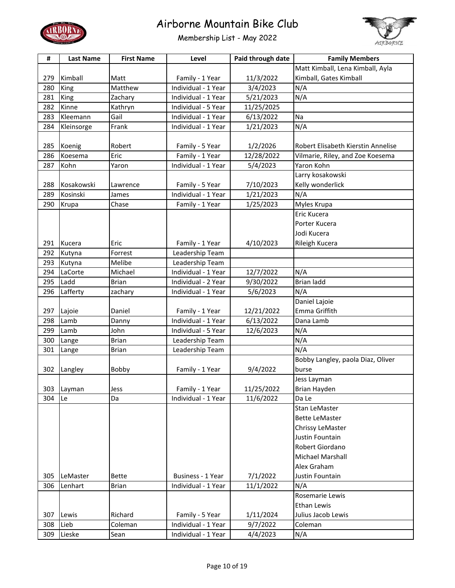



| #   | <b>Last Name</b> | <b>First Name</b> | Level               | Paid through date | <b>Family Members</b>              |
|-----|------------------|-------------------|---------------------|-------------------|------------------------------------|
|     |                  |                   |                     |                   | Matt Kimball, Lena Kimball, Ayla   |
| 279 | Kimball          | Matt              | Family - 1 Year     | 11/3/2022         | Kimball, Gates Kimball             |
| 280 | King             | Matthew           | Individual - 1 Year | 3/4/2023          | N/A                                |
| 281 | King             | Zachary           | Individual - 1 Year | 5/21/2023         | N/A                                |
| 282 | Kinne            | Kathryn           | Individual - 5 Year | 11/25/2025        |                                    |
| 283 | Kleemann         | Gail              | Individual - 1 Year | 6/13/2022         | Na                                 |
| 284 | Kleinsorge       | Frank             | Individual - 1 Year | 1/21/2023         | N/A                                |
|     |                  |                   |                     |                   |                                    |
| 285 | Koenig           | Robert            | Family - 5 Year     | 1/2/2026          | Robert Elisabeth Kierstin Annelise |
| 286 | Koesema          | Eric              | Family - 1 Year     | 12/28/2022        | Vilmarie, Riley, and Zoe Koesema   |
| 287 | Kohn             | Yaron             | Individual - 1 Year | 5/4/2023          | Yaron Kohn                         |
|     |                  |                   |                     |                   | Larry kosakowski                   |
| 288 | Kosakowski       | Lawrence          | Family - 5 Year     | 7/10/2023         | Kelly wonderlick                   |
| 289 | Kosinski         | James             | Individual - 1 Year | 1/21/2023         | N/A                                |
| 290 | Krupa            | Chase             | Family - 1 Year     | 1/25/2023         | Myles Krupa                        |
|     |                  |                   |                     |                   | Eric Kucera                        |
|     |                  |                   |                     |                   | Porter Kucera                      |
|     |                  |                   |                     |                   | Jodi Kucera                        |
| 291 | Kucera           | Eric              | Family - 1 Year     | 4/10/2023         | Rileigh Kucera                     |
| 292 | Kutyna           | Forrest           | Leadership Team     |                   |                                    |
| 293 | Kutyna           | Melibe            | Leadership Team     |                   |                                    |
| 294 | LaCorte          | Michael           | Individual - 1 Year | 12/7/2022         | N/A                                |
| 295 | Ladd             | <b>Brian</b>      | Individual - 2 Year | 9/30/2022         | <b>Brian ladd</b>                  |
| 296 | Lafferty         | zachary           | Individual - 1 Year | 5/6/2023          | N/A                                |
|     |                  |                   |                     |                   | Daniel Lajoie                      |
| 297 | Lajoie           | Daniel            | Family - 1 Year     | 12/21/2022        | Emma Griffith                      |
| 298 | Lamb             | Danny             | Individual - 1 Year | 6/13/2022         | Dana Lamb                          |
| 299 | Lamb             | John              | Individual - 5 Year | 12/6/2023         | N/A                                |
| 300 | Lange            | <b>Brian</b>      | Leadership Team     |                   | N/A                                |
| 301 | Lange            | <b>Brian</b>      | Leadership Team     |                   | N/A                                |
|     |                  |                   |                     |                   | Bobby Langley, paola Diaz, Oliver  |
| 302 | Langley          | Bobby             | Family - 1 Year     | 9/4/2022          | burse                              |
|     |                  |                   |                     |                   | Jess Layman                        |
| 303 | Layman           | Jess              | Family - 1 Year     | 11/25/2022        | <b>Brian Hayden</b>                |
| 304 | Le               | Da                | Individual - 1 Year | 11/6/2022         | Da Le                              |
|     |                  |                   |                     |                   | Stan LeMaster                      |
|     |                  |                   |                     |                   | <b>Bette LeMaster</b>              |
|     |                  |                   |                     |                   | Chrissy LeMaster                   |
|     |                  |                   |                     |                   | Justin Fountain                    |
|     |                  |                   |                     |                   | Robert Giordano                    |
|     |                  |                   |                     |                   | Michael Marshall                   |
|     |                  |                   |                     |                   | Alex Graham                        |
| 305 | LeMaster         | <b>Bette</b>      | Business - 1 Year   | 7/1/2022          | Justin Fountain                    |
| 306 | Lenhart          | <b>Brian</b>      | Individual - 1 Year | 11/1/2022         | N/A                                |
|     |                  |                   |                     |                   | Rosemarie Lewis                    |
|     |                  |                   |                     |                   | Ethan Lewis                        |
| 307 | Lewis            | Richard           | Family - 5 Year     | 1/11/2024         | Julius Jacob Lewis                 |
| 308 | Lieb             | Coleman           | Individual - 1 Year | 9/7/2022          | Coleman                            |
| 309 | Lieske           | Sean              | Individual - 1 Year | 4/4/2023          | N/A                                |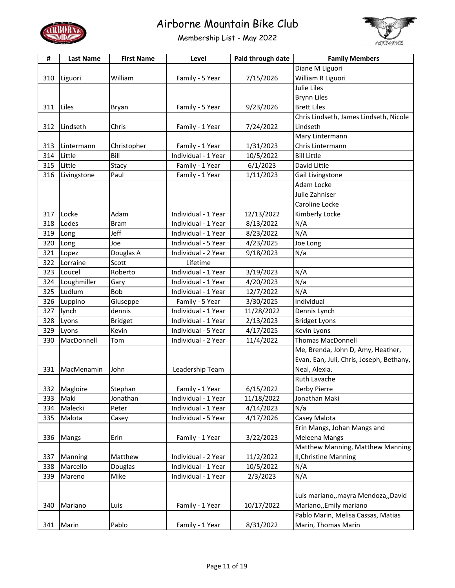



| #   | <b>Last Name</b> | <b>First Name</b> | Level               | Paid through date | <b>Family Members</b>                    |
|-----|------------------|-------------------|---------------------|-------------------|------------------------------------------|
|     |                  |                   |                     |                   | Diane M Liguori                          |
| 310 | Liguori          | William           | Family - 5 Year     | 7/15/2026         | William R Liguori                        |
|     |                  |                   |                     |                   | <b>Julie Liles</b>                       |
|     |                  |                   |                     |                   | <b>Brynn Liles</b>                       |
| 311 | Liles            | Bryan             | Family - 5 Year     | 9/23/2026         | <b>Brett Liles</b>                       |
|     |                  |                   |                     |                   | Chris Lindseth, James Lindseth, Nicole   |
| 312 | Lindseth         | Chris             | Family - 1 Year     | 7/24/2022         | Lindseth                                 |
|     |                  |                   |                     |                   | Mary Lintermann                          |
| 313 | Lintermann       | Christopher       | Family - 1 Year     | 1/31/2023         | Chris Lintermann                         |
| 314 | Little           | Bill              | Individual - 1 Year | 10/5/2022         | <b>Bill Little</b>                       |
| 315 | Little           | Stacy             | Family - 1 Year     | 6/1/2023          | David Little                             |
| 316 | Livingstone      | Paul              | Family - 1 Year     | 1/11/2023         | Gail Livingstone                         |
|     |                  |                   |                     |                   | Adam Locke                               |
|     |                  |                   |                     |                   | Julie Zahniser                           |
|     |                  |                   |                     |                   | Caroline Locke                           |
| 317 | Locke            | Adam              | Individual - 1 Year | 12/13/2022        | Kimberly Locke                           |
| 318 | Lodes            | <b>Bram</b>       | Individual - 1 Year | 8/13/2022         | N/A                                      |
| 319 | Long             | Jeff              | Individual - 1 Year | 8/23/2022         | N/A                                      |
| 320 | Long             | Joe               | Individual - 5 Year | 4/23/2025         | Joe Long                                 |
| 321 | Lopez            | Douglas A         | Individual - 2 Year | 9/18/2023         | N/a                                      |
| 322 | Lorraine         | Scott             | Lifetime            |                   |                                          |
| 323 | Loucel           | Roberto           | Individual - 1 Year | 3/19/2023         | N/A                                      |
| 324 | Loughmiller      | Gary              | Individual - 1 Year | 4/20/2023         | N/a                                      |
| 325 | Ludlum           | Bob               | Individual - 1 Year | 12/7/2022         | N/A                                      |
| 326 | Luppino          | Giuseppe          | Family - 5 Year     | 3/30/2025         | Individual                               |
| 327 | lynch            | dennis            | Individual - 1 Year | 11/28/2022        | Dennis Lynch                             |
| 328 | Lyons            | <b>Bridget</b>    | Individual - 1 Year | 2/13/2023         | <b>Bridget Lyons</b>                     |
| 329 | Lyons            | Kevin             | Individual - 5 Year | 4/17/2025         | Kevin Lyons                              |
| 330 | MacDonnell       | Tom               | Individual - 2 Year | 11/4/2022         | <b>Thomas MacDonnell</b>                 |
|     |                  |                   |                     |                   | Me, Brenda, John D, Amy, Heather,        |
|     |                  |                   |                     |                   | Evan, Ean, Juli, Chris, Joseph, Bethany, |
| 331 | MacMenamin       | John              | Leadership Team     |                   | Neal, Alexia,                            |
|     |                  |                   |                     |                   | <b>Ruth Lavache</b>                      |
| 332 | Magloire         | Stephan           | Family - 1 Year     | 6/15/2022         | Derby Pierre                             |
| 333 | Maki             | Jonathan          | Individual - 1 Year | 11/18/2022        | Jonathan Maki                            |
| 334 | Malecki          | Peter             | Individual - 1 Year | 4/14/2023         | N/a                                      |
| 335 | Malota           | Casey             | Individual - 5 Year | 4/17/2026         | Casey Malota                             |
|     |                  |                   |                     |                   | Erin Mangs, Johan Mangs and              |
| 336 | <b>Mangs</b>     | Erin              | Family - 1 Year     | 3/22/2023         | Meleena Mangs                            |
|     |                  |                   |                     |                   | Matthew Manning, Matthew Manning         |
| 337 | Manning          | Matthew           | Individual - 2 Year | 11/2/2022         | <b>II, Christine Manning</b>             |
| 338 | Marcello         | Douglas           | Individual - 1 Year | 10/5/2022         | N/A                                      |
| 339 | Mareno           | Mike              | Individual - 1 Year | 2/3/2023          | N/A                                      |
|     |                  |                   |                     |                   |                                          |
|     |                  |                   |                     |                   | Luis mariano,, mayra Mendoza,, David     |
| 340 | Mariano          | Luis              | Family - 1 Year     | 10/17/2022        | Mariano,, Emily mariano                  |
|     |                  |                   |                     |                   | Pablo Marin, Melisa Cassas, Matias       |
| 341 | Marin            | Pablo             | Family - 1 Year     | 8/31/2022         | Marin, Thomas Marin                      |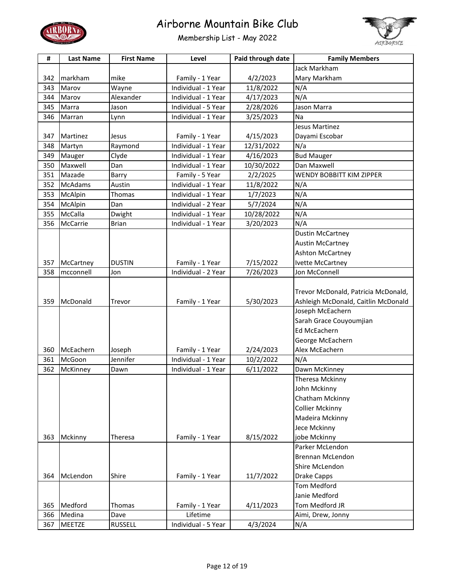



| #   | <b>Last Name</b> | <b>First Name</b> | Level               | Paid through date | <b>Family Members</b>               |
|-----|------------------|-------------------|---------------------|-------------------|-------------------------------------|
|     |                  |                   |                     |                   | Jack Markham                        |
| 342 | markham          | mike              | Family - 1 Year     | 4/2/2023          | Mary Markham                        |
| 343 | Marov            | Wayne             | Individual - 1 Year | 11/8/2022         | N/A                                 |
| 344 | Marov            | Alexander         | Individual - 1 Year | 4/17/2023         | N/A                                 |
| 345 | Marra            | Jason             | Individual - 5 Year | 2/28/2026         | Jason Marra                         |
| 346 | Marran           | Lynn              | Individual - 1 Year | 3/25/2023         | Na                                  |
|     |                  |                   |                     |                   | Jesus Martinez                      |
| 347 | Martinez         | Jesus             | Family - 1 Year     | 4/15/2023         | Dayami Escobar                      |
| 348 | Martyn           | Raymond           | Individual - 1 Year | 12/31/2022        | N/a                                 |
| 349 | Mauger           | Clyde             | Individual - 1 Year | 4/16/2023         | <b>Bud Mauger</b>                   |
| 350 | Maxwell          | Dan               | Individual - 1 Year | 10/30/2022        | Dan Maxwell                         |
| 351 | Mazade           | Barry             | Family - 5 Year     | 2/2/2025          | WENDY BOBBITT KIM ZIPPER            |
| 352 | <b>McAdams</b>   | Austin            | Individual - 1 Year | 11/8/2022         | N/A                                 |
| 353 | McAlpin          | Thomas            | Individual - 1 Year | 1/7/2023          | N/A                                 |
| 354 | McAlpin          | Dan               | Individual - 2 Year | 5/7/2024          | N/A                                 |
| 355 | McCalla          | Dwight            | Individual - 1 Year | 10/28/2022        | N/A                                 |
| 356 | McCarrie         | <b>Brian</b>      | Individual - 1 Year | 3/20/2023         | N/A                                 |
|     |                  |                   |                     |                   | <b>Dustin McCartney</b>             |
|     |                  |                   |                     |                   | <b>Austin McCartney</b>             |
|     |                  |                   |                     |                   | Ashton McCartney                    |
| 357 | McCartney        | <b>DUSTIN</b>     | Family - 1 Year     | 7/15/2022         | Ivette McCartney                    |
| 358 | mcconnell        | Jon               | Individual - 2 Year | 7/26/2023         | Jon McConnell                       |
|     |                  |                   |                     |                   |                                     |
|     |                  |                   |                     |                   | Trevor McDonald, Patricia McDonald, |
| 359 | McDonald         | Trevor            | Family - 1 Year     | 5/30/2023         | Ashleigh McDonald, Caitlin McDonald |
|     |                  |                   |                     |                   | Joseph McEachern                    |
|     |                  |                   |                     |                   | Sarah Grace Couyoumjian             |
|     |                  |                   |                     |                   | <b>Ed McEachern</b>                 |
|     |                  |                   |                     |                   | George McEachern                    |
| 360 | McEachern        | Joseph            | Family - 1 Year     | 2/24/2023         | Alex McEachern                      |
| 361 | McGoon           | Jennifer          | Individual - 1 Year | 10/2/2022         | N/A                                 |
| 362 | McKinney         | Dawn              | Individual - 1 Year | 6/11/2022         | Dawn McKinney                       |
|     |                  |                   |                     |                   | Theresa Mckinny                     |
|     |                  |                   |                     |                   | John Mckinny                        |
|     |                  |                   |                     |                   | Chatham Mckinny                     |
|     |                  |                   |                     |                   | <b>Collier Mckinny</b>              |
|     |                  |                   |                     |                   | Madeira Mckinny                     |
|     |                  |                   |                     |                   | Jece Mckinny                        |
| 363 | Mckinny          | Theresa           | Family - 1 Year     | 8/15/2022         | jobe Mckinny                        |
|     |                  |                   |                     |                   | Parker McLendon                     |
|     |                  |                   |                     |                   | Brennan McLendon                    |
|     |                  |                   |                     |                   | Shire McLendon                      |
| 364 | McLendon         | Shire             | Family - 1 Year     | 11/7/2022         | Drake Capps                         |
|     |                  |                   |                     |                   | Tom Medford                         |
|     |                  |                   |                     |                   | Janie Medford                       |
| 365 | Medford          | Thomas            | Family - 1 Year     | 4/11/2023         | Tom Medford JR                      |
| 366 | Medina           | Dave              | Lifetime            |                   | Aimi, Drew, Jonny                   |
| 367 | <b>MEETZE</b>    | <b>RUSSELL</b>    | Individual - 5 Year | 4/3/2024          | N/A                                 |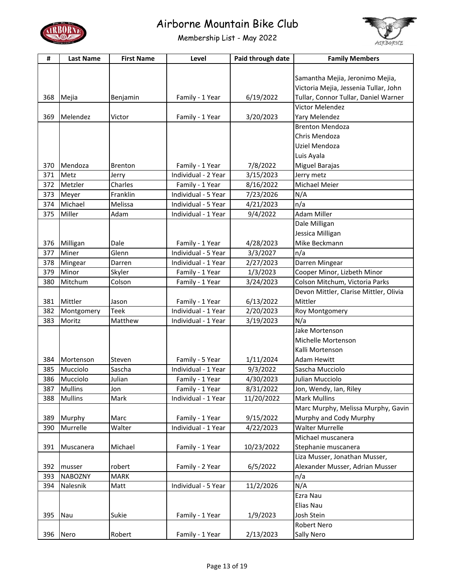



| #   | <b>Last Name</b>         | <b>First Name</b> | Level               | Paid through date | <b>Family Members</b>                  |
|-----|--------------------------|-------------------|---------------------|-------------------|----------------------------------------|
|     |                          |                   |                     |                   |                                        |
|     |                          |                   |                     |                   | Samantha Mejia, Jeronimo Mejia,        |
|     |                          |                   |                     |                   | Victoria Mejia, Jessenia Tullar, John  |
| 368 | Mejia                    | Benjamin          | Family - 1 Year     | 6/19/2022         | Tullar, Connor Tullar, Daniel Warner   |
|     |                          |                   |                     |                   | Victor Melendez                        |
| 369 | Melendez                 | Victor            | Family - 1 Year     | 3/20/2023         | Yary Melendez                          |
|     |                          |                   |                     |                   | <b>Brenton Mendoza</b>                 |
|     |                          |                   |                     |                   | Chris Mendoza                          |
|     |                          |                   |                     |                   | Uziel Mendoza                          |
|     |                          |                   |                     |                   | Luis Ayala                             |
| 370 | Mendoza                  | <b>Brenton</b>    | Family - 1 Year     | 7/8/2022          | Miguel Barajas                         |
| 371 | Metz                     | Jerry             | Individual - 2 Year | 3/15/2023         | Jerry metz                             |
| 372 | Metzler                  | Charles           | Family - 1 Year     | 8/16/2022         | Michael Meier                          |
| 373 | Meyer                    | Franklin          | Individual - 5 Year | 7/23/2026         | N/A                                    |
| 374 | Michael                  | Melissa           | Individual - 5 Year | 4/21/2023         | n/a                                    |
| 375 | Miller                   | Adam              | Individual - 1 Year | 9/4/2022          | <b>Adam Miller</b>                     |
|     |                          |                   |                     |                   | Dale Milligan                          |
|     |                          |                   |                     |                   | Jessica Milligan                       |
| 376 | Milligan                 | Dale              | Family - 1 Year     | 4/28/2023         | Mike Beckmann                          |
| 377 | Miner                    | Glenn             | Individual - 5 Year | 3/3/2027          | n/a                                    |
| 378 | Mingear                  | Darren            | Individual - 1 Year | 2/27/2023         | Darren Mingear                         |
| 379 | Minor                    | Skyler            | Family - 1 Year     | 1/3/2023          | Cooper Minor, Lizbeth Minor            |
| 380 | Mitchum                  | Colson            | Family - 1 Year     | 3/24/2023         | Colson Mitchum, Victoria Parks         |
|     |                          |                   |                     |                   | Devon Mittler, Clarise Mittler, Olivia |
| 381 | Mittler                  | Jason             | Family - 1 Year     | 6/13/2022         | Mittler                                |
| 382 | Montgomery               | <b>Teek</b>       | Individual - 1 Year | 2/20/2023         | Roy Montgomery                         |
| 383 | Moritz                   | Matthew           | Individual - 1 Year | 3/19/2023         | N/a                                    |
|     |                          |                   |                     |                   | Jake Mortenson                         |
|     |                          |                   |                     |                   | Michelle Mortenson                     |
|     |                          |                   |                     |                   | Kalli Mortenson                        |
| 384 | Mortenson                | Steven            | Family - 5 Year     | 1/11/2024         | Adam Hewitt                            |
| 385 | Mucciolo                 | Sascha            | Individual - 1 Year | 9/3/2022          | Sascha Mucciolo                        |
| 386 | Mucciolo                 | Julian            | Family - 1 Year     | 4/30/2023         | Julian Mucciolo                        |
| 387 | <b>Mullins</b>           | Jon               | Family - 1 Year     | 8/31/2022         | Jon, Wendy, Ian, Riley                 |
| 388 | <b>Mullins</b>           | Mark              | Individual - 1 Year | 11/20/2022        | <b>Mark Mullins</b>                    |
|     |                          |                   |                     |                   | Marc Murphy, Melissa Murphy, Gavin     |
| 389 | Murphy                   | Marc              | Family - 1 Year     | 9/15/2022         | Murphy and Cody Murphy                 |
| 390 | Murrelle                 | Walter            | Individual - 1 Year | 4/22/2023         | <b>Walter Murrelle</b>                 |
|     |                          |                   |                     |                   | Michael muscanera                      |
| 391 | Muscanera                | Michael           | Family - 1 Year     | 10/23/2022        | Stephanie muscanera                    |
|     |                          |                   |                     |                   | Liza Musser, Jonathan Musser,          |
| 392 |                          | robert            | Family - 2 Year     | 6/5/2022          | Alexander Musser, Adrian Musser        |
| 393 | musser<br><b>NABOZNY</b> | <b>MARK</b>       |                     |                   | n/a                                    |
| 394 | Nalesnik                 | Matt              | Individual - 5 Year |                   | N/A                                    |
|     |                          |                   |                     | 11/2/2026         |                                        |
|     |                          |                   |                     |                   | Ezra Nau                               |
|     |                          |                   |                     |                   | Elias Nau                              |
| 395 | Nau                      | Sukie             | Family - 1 Year     | 1/9/2023          | Josh Stein                             |
|     |                          |                   |                     |                   | Robert Nero                            |
| 396 | Nero                     | Robert            | Family - 1 Year     | 2/13/2023         | Sally Nero                             |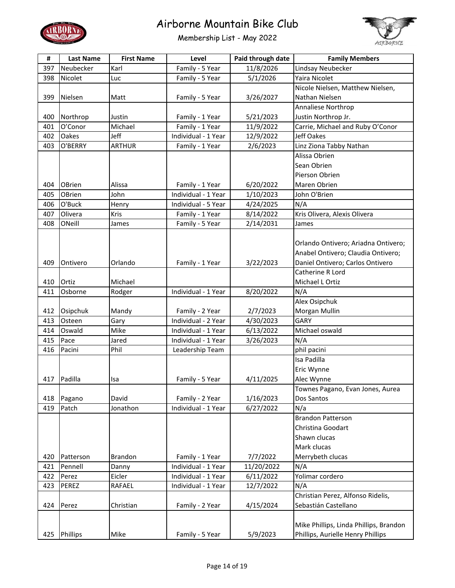



| #   | <b>Last Name</b> | <b>First Name</b> | Level               | Paid through date      | <b>Family Members</b>                  |
|-----|------------------|-------------------|---------------------|------------------------|----------------------------------------|
| 397 | Neubecker        | Karl              | Family - 5 Year     | 11/8/2026              | Lindsay Neubecker                      |
| 398 | Nicolet          | Luc               | Family - 5 Year     | 5/1/2026               | Yaira Nicolet                          |
|     |                  |                   |                     |                        | Nicole Nielsen, Matthew Nielsen,       |
| 399 | Nielsen          | Matt              | Family - 5 Year     | 3/26/2027              | Nathan Nielsen                         |
|     |                  |                   |                     |                        | Annaliese Northrop                     |
| 400 | Northrop         | Justin            | Family - 1 Year     | 5/21/2023              | Justin Northrop Jr.                    |
| 401 | O'Conor          | Michael           | Family - 1 Year     | 11/9/2022              | Carrie, Michael and Ruby O'Conor       |
| 402 | Oakes            | Jeff              | Individual - 1 Year | 12/9/2022              | Jeff Oakes                             |
| 403 | O'BERRY          | <b>ARTHUR</b>     | Family - 1 Year     | 2/6/2023               | Linz Ziona Tabby Nathan                |
|     |                  |                   |                     |                        | Alissa Obrien                          |
|     |                  |                   |                     |                        | Sean Obrien                            |
|     |                  |                   |                     |                        | Pierson Obrien                         |
| 404 | <b>OBrien</b>    | Alissa            | Family - 1 Year     | 6/20/2022              | Maren Obrien                           |
| 405 | OBrien           | John              | Individual - 1 Year | 1/10/2023              | John O'Brien                           |
| 406 | O'Buck           | Henry             | Individual - 5 Year | 4/24/2025              | N/A                                    |
| 407 | Olivera          | Kris              | Family - 1 Year     | 8/14/2022              | Kris Olivera, Alexis Olivera           |
| 408 | ONeill           | James             | Family - 5 Year     | 2/14/2031              | James                                  |
|     |                  |                   |                     |                        |                                        |
|     |                  |                   |                     |                        | Orlando Ontivero; Ariadna Ontivero;    |
|     |                  |                   |                     |                        | Anabel Ontivero; Claudia Ontivero;     |
| 409 | Ontivero         | Orlando           | Family - 1 Year     | 3/22/2023              | Daniel Ontivero; Carlos Ontivero       |
|     |                  |                   |                     |                        | Catherine R Lord                       |
| 410 | Ortiz            | Michael           |                     |                        | Michael L Ortiz                        |
| 411 | Osborne          | Rodger            | Individual - 1 Year | 8/20/2022              | N/A                                    |
|     |                  |                   |                     |                        | Alex Osipchuk                          |
| 412 | Osipchuk         | Mandy             | Family - 2 Year     | 2/7/2023               | Morgan Mullin                          |
| 413 | Osteen           | Gary              | Individual - 2 Year | 4/30/2023              | GARY                                   |
| 414 | Oswald           | Mike              | Individual - 1 Year | 6/13/2022              | Michael oswald                         |
| 415 | Pace             | Jared             | Individual - 1 Year | 3/26/2023              | N/A                                    |
| 416 | Pacini           | Phil              | Leadership Team     |                        | phil pacini                            |
|     |                  |                   |                     |                        | Isa Padilla                            |
|     |                  |                   |                     |                        | Eric Wynne                             |
| 417 | Padilla          | Isa               | Family - 5 Year     | 4/11/2025              | Alec Wynne                             |
|     |                  |                   |                     |                        | Townes Pagano, Evan Jones, Aurea       |
| 418 | Pagano           | David             | Family - 2 Year     | 1/16/2023              | Dos Santos                             |
| 419 | Patch            | Jonathon          | Individual - 1 Year | $\frac{1}{6}$ /27/2022 | N/a                                    |
|     |                  |                   |                     |                        | <b>Brandon Patterson</b>               |
|     |                  |                   |                     |                        | Christina Goodart                      |
|     |                  |                   |                     |                        | Shawn clucas                           |
|     |                  |                   |                     |                        | Mark clucas                            |
| 420 | Patterson        | Brandon           | Family - 1 Year     | 7/7/2022               | Merrybeth clucas                       |
| 421 | Pennell          | Danny             | Individual - 1 Year | 11/20/2022             | N/A                                    |
| 422 | Perez            | Eicler            | Individual - 1 Year | 6/11/2022              | Yolimar cordero                        |
| 423 | PEREZ            | RAFAEL            | Individual - 1 Year | 12/7/2022              | N/A                                    |
|     |                  |                   |                     |                        | Christian Perez, Alfonso Ridelis,      |
| 424 | Perez            | Christian         | Family - 2 Year     | 4/15/2024              | Sebastián Castellano                   |
|     |                  |                   |                     |                        |                                        |
|     |                  |                   |                     |                        | Mike Phillips, Linda Phillips, Brandon |
| 425 | Phillips         | Mike              | Family - 5 Year     | 5/9/2023               | Phillips, Aurielle Henry Phillips      |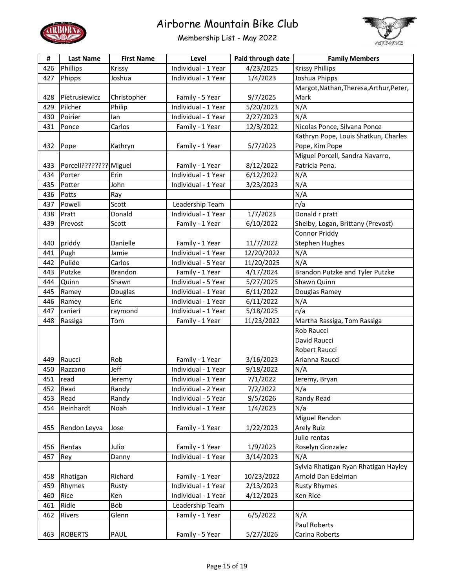



| #   | <b>Last Name</b>       | <b>First Name</b> | Level               | Paid through date | <b>Family Members</b>                   |
|-----|------------------------|-------------------|---------------------|-------------------|-----------------------------------------|
| 426 | Phillips               | Krissy            | Individual - 1 Year | 4/23/2025         | <b>Krissy Phillips</b>                  |
| 427 | Phipps                 | Joshua            | Individual - 1 Year | 1/4/2023          | Joshua Phipps                           |
|     |                        |                   |                     |                   | Margot, Nathan, Theresa, Arthur, Peter, |
| 428 | Pietrusiewicz          | Christopher       | Family - 5 Year     | 9/7/2025          | Mark                                    |
| 429 | Pilcher                | Philip            | Individual - 1 Year | 5/20/2023         | N/A                                     |
| 430 | Poirier                | lan               | Individual - 1 Year | 2/27/2023         | N/A                                     |
| 431 | Ponce                  | Carlos            | Family - 1 Year     | 12/3/2022         | Nicolas Ponce, Silvana Ponce            |
|     |                        |                   |                     |                   | Kathryn Pope, Louis Shatkun, Charles    |
| 432 | Pope                   | Kathryn           | Family - 1 Year     | 5/7/2023          | Pope, Kim Pope                          |
|     |                        |                   |                     |                   | Miguel Porcell, Sandra Navarro,         |
| 433 | Porcell???????? Miguel |                   | Family - 1 Year     | 8/12/2022         | Patricia Pena.                          |
| 434 | Porter                 | Erin              | Individual - 1 Year | 6/12/2022         | N/A                                     |
| 435 | Potter                 | John              | Individual - 1 Year | 3/23/2023         | N/A                                     |
| 436 | Potts                  | Ray               |                     |                   | N/A                                     |
| 437 | Powell                 | Scott             | Leadership Team     |                   | n/a                                     |
| 438 | Pratt                  | Donald            | Individual - 1 Year | 1/7/2023          | Donald r pratt                          |
| 439 | Prevost                | Scott             | Family - 1 Year     | 6/10/2022         | Shelby, Logan, Brittany (Prevost)       |
|     |                        |                   |                     |                   | Connor Priddy                           |
| 440 | priddy                 | Danielle          | Family - 1 Year     | 11/7/2022         | <b>Stephen Hughes</b>                   |
| 441 | Pugh                   | Jamie             | Individual - 1 Year | 12/20/2022        | N/A                                     |
| 442 | Pulido                 | Carlos            | Individual - 5 Year | 11/20/2025        | N/A                                     |
| 443 | Putzke                 | <b>Brandon</b>    | Family - 1 Year     | 4/17/2024         | Brandon Putzke and Tyler Putzke         |
| 444 | Quinn                  | Shawn             | Individual - 5 Year | 5/27/2025         | Shawn Quinn                             |
| 445 | Ramey                  | Douglas           | Individual - 1 Year | 6/11/2022         | Douglas Ramey                           |
| 446 | Ramey                  | Eric              | Individual - 1 Year | 6/11/2022         | N/A                                     |
| 447 | ranieri                | raymond           | Individual - 1 Year | 5/18/2025         | n/a                                     |
| 448 | Rassiga                | Tom               | Family - 1 Year     | 11/23/2022        | Martha Rassiga, Tom Rassiga             |
|     |                        |                   |                     |                   | Rob Raucci                              |
|     |                        |                   |                     |                   | David Raucci                            |
|     |                        |                   |                     |                   | Robert Raucci                           |
| 449 | Raucci                 | Rob               | Family - 1 Year     | 3/16/2023         | Arianna Raucci                          |
| 450 | Razzano                | Jeff              | Individual - 1 Year | 9/18/2022         | N/A                                     |
| 451 | read                   | Jeremy            | Individual - 1 Year | 7/1/2022          | Jeremy, Bryan                           |
| 452 | Read                   | Randy             | Individual - 2 Year | 7/2/2022          | N/a                                     |
| 453 | Read                   | Randy             | Individual - 5 Year | 9/5/2026          | Randy Read                              |
| 454 | Reinhardt              | Noah              | Individual - 1 Year | 1/4/2023          | N/a                                     |
|     |                        |                   |                     |                   | Miguel Rendon                           |
| 455 | Rendon Leyva           | Jose              | Family - 1 Year     | 1/22/2023         | <b>Arely Ruiz</b>                       |
|     |                        |                   |                     |                   | Julio rentas                            |
| 456 | Rentas                 | Julio             | Family - 1 Year     | 1/9/2023          | Roselyn Gonzalez                        |
| 457 | Rey                    | Danny             | Individual - 1 Year | 3/14/2023         | N/A                                     |
|     |                        |                   |                     |                   | Sylvia Rhatigan Ryan Rhatigan Hayley    |
| 458 | Rhatigan               | Richard           | Family - 1 Year     | 10/23/2022        | Arnold Dan Edelman                      |
| 459 | Rhymes                 | Rusty             | Individual - 1 Year | 2/13/2023         | <b>Rusty Rhymes</b>                     |
| 460 | Rice                   | Ken               | Individual - 1 Year | 4/12/2023         | Ken Rice                                |
| 461 | Ridle                  | Bob               | Leadership Team     |                   |                                         |
| 462 | Rivers                 | Glenn             | Family - 1 Year     | 6/5/2022          | N/A                                     |
|     |                        |                   |                     |                   | Paul Roberts                            |
| 463 | <b>ROBERTS</b>         | PAUL              | Family - 5 Year     | 5/27/2026         | Carina Roberts                          |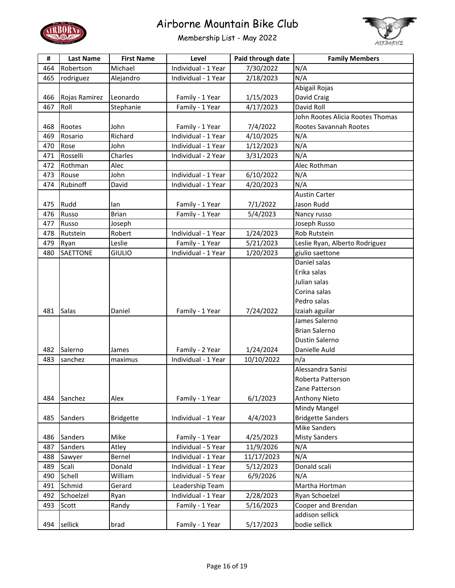



| #   | <b>Last Name</b> | <b>First Name</b> | Level               | Paid through date | <b>Family Members</b>            |
|-----|------------------|-------------------|---------------------|-------------------|----------------------------------|
| 464 | Robertson        | Michael           | Individual - 1 Year | 7/30/2022         | N/A                              |
| 465 | rodriguez        | Alejandro         | Individual - 1 Year | 2/18/2023         | N/A                              |
|     |                  |                   |                     |                   | Abigail Rojas                    |
| 466 | Rojas Ramirez    | Leonardo          | Family - 1 Year     | 1/15/2023         | David Craig                      |
| 467 | Roll             | Stephanie         | Family - 1 Year     | 4/17/2023         | David Roll                       |
|     |                  |                   |                     |                   | John Rootes Alicia Rootes Thomas |
| 468 | Rootes           | John              | Family - 1 Year     | 7/4/2022          | Rootes Savannah Rootes           |
| 469 | Rosario          | Richard           | Individual - 1 Year | 4/10/2025         | N/A                              |
| 470 | Rose             | John              | Individual - 1 Year | 1/12/2023         | N/A                              |
| 471 | Rosselli         | Charles           | Individual - 2 Year | 3/31/2023         | N/A                              |
| 472 | Rothman          | Alec              |                     |                   | Alec Rothman                     |
| 473 | Rouse            | John              | Individual - 1 Year | 6/10/2022         | N/A                              |
| 474 | Rubinoff         | David             | Individual - 1 Year | 4/20/2023         | N/A                              |
|     |                  |                   |                     |                   | <b>Austin Carter</b>             |
| 475 | Rudd             | lan               | Family - 1 Year     | 7/1/2022          | Jason Rudd                       |
| 476 | Russo            | <b>Brian</b>      | Family - 1 Year     | 5/4/2023          | Nancy russo                      |
| 477 | Russo            | Joseph            |                     |                   | Joseph Russo                     |
| 478 | Rutstein         | Robert            | Individual - 1 Year | 1/24/2023         | Rob Rutstein                     |
| 479 | Ryan             | Leslie            | Family - 1 Year     | 5/21/2023         | Leslie Ryan, Alberto Rodriguez   |
| 480 | <b>SAETTONE</b>  | <b>GIULIO</b>     | Individual - 1 Year | 1/20/2023         | giulio saettone                  |
|     |                  |                   |                     |                   | Daniel salas                     |
|     |                  |                   |                     |                   | Erika salas                      |
|     |                  |                   |                     |                   | Julian salas                     |
|     |                  |                   |                     |                   | Corina salas                     |
|     |                  |                   |                     |                   | Pedro salas                      |
| 481 | Salas            | Daniel            | Family - 1 Year     | 7/24/2022         | Izaiah aguilar                   |
|     |                  |                   |                     |                   | James Salerno                    |
|     |                  |                   |                     |                   | <b>Brian Salerno</b>             |
|     |                  |                   |                     |                   | Dustin Salerno                   |
| 482 | Salerno          | James             | Family - 2 Year     | 1/24/2024         | Danielle Auld                    |
| 483 | sanchez          | maximus           | Individual - 1 Year | 10/10/2022        | n/a                              |
|     |                  |                   |                     |                   | Alessandra Sanisi                |
|     |                  |                   |                     |                   | Roberta Patterson                |
|     |                  |                   |                     |                   | Zane Patterson                   |
| 484 | Sanchez          | Alex              | Family - 1 Year     | 6/1/2023          | <b>Anthony Nieto</b>             |
|     |                  |                   |                     |                   | Mindy Mangel                     |
| 485 | Sanders          | <b>Bridgette</b>  | Individual - 1 Year | 4/4/2023          | <b>Bridgette Sanders</b>         |
|     |                  |                   |                     |                   | <b>Mike Sanders</b>              |
| 486 | Sanders          | Mike              | Family - 1 Year     | 4/25/2023         | <b>Misty Sanders</b>             |
| 487 | Sanders          | Atley             | Individual - 5 Year | 11/9/2026         | N/A                              |
| 488 | Sawyer           | Bernel            | Individual - 1 Year | 11/17/2023        | N/A                              |
| 489 | Scali            | Donald            | Individual - 1 Year | 5/12/2023         | Donald scali                     |
| 490 | Schell           | William           | Individual - 5 Year | 6/9/2026          | N/A                              |
| 491 | Schmid           | Gerard            | Leadership Team     |                   | Martha Hortman                   |
| 492 | Schoelzel        | Ryan              | Individual - 1 Year | 2/28/2023         | Ryan Schoelzel                   |
| 493 | Scott            | Randy             | Family - 1 Year     | 5/16/2023         | Cooper and Brendan               |
|     |                  |                   |                     |                   | addison sellick                  |
| 494 | sellick          | brad              | Family - 1 Year     | 5/17/2023         | bodie sellick                    |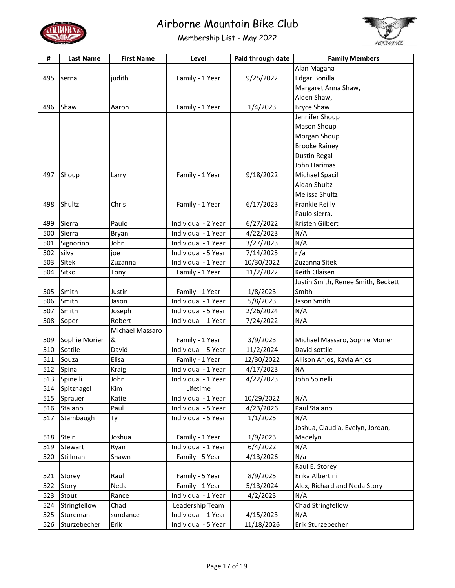



| Alan Magana<br>495<br>judith<br>9/25/2022<br><b>Edgar Bonilla</b><br>Family - 1 Year<br>serna<br>Margaret Anna Shaw,<br>Aiden Shaw,<br><b>Bryce Shaw</b><br>1/4/2023<br>496<br>Shaw<br>Family - 1 Year<br>Aaron<br>Jennifer Shoup<br>Mason Shoup<br>Morgan Shoup<br><b>Brooke Rainey</b><br><b>Dustin Regal</b><br>John Harimas<br>497<br>Shoup<br>Michael Spacil<br>Family - 1 Year<br>9/18/2022<br>Larry<br>Aidan Shultz<br>Melissa Shultz<br>Shultz<br>Chris<br>Family - 1 Year<br>6/17/2023<br>Frankie Reilly<br>498<br>Paulo sierra.<br>Kristen Gilbert<br>499<br>Paulo<br>Individual - 2 Year<br>6/27/2022<br>Sierra<br>Sierra<br>N/A<br>500<br>Bryan<br>Individual - 1 Year<br>4/22/2023<br>N/A<br>501<br>John<br>Signorino<br>Individual - 1 Year<br>3/27/2023<br>n/a<br>502<br>silva<br>7/14/2025<br>Individual - 5 Year<br>ioe<br>Sitek<br>503<br>10/30/2022<br>Zuzanna Sitek<br>Zuzanna<br>Individual - 1 Year<br>Sitko<br>11/2/2022<br>504<br>Family - 1 Year<br>Keith Olaisen<br>Tony<br>Justin Smith, Renee Smith, Beckett<br>Smith<br>505<br>Smith<br>Justin<br>1/8/2023<br>Family - 1 Year<br>Smith<br>5/8/2023<br>Jason Smith<br>Individual - 1 Year<br>506<br>Jason<br>507<br>Smith<br>2/26/2024<br>N/A<br>Joseph<br>Individual - 5 Year<br>Robert<br>N/A<br>508<br>Individual - 1 Year<br>7/24/2022<br>Soper<br>Michael Massaro<br>509<br>Sophie Morier<br>&<br>3/9/2023<br>Michael Massaro, Sophie Morier<br>Family - 1 Year<br>Sottile<br>David<br>Individual - 5 Year<br>David sottile<br>510<br>11/2/2024<br>511<br>Elisa<br>12/30/2022<br>Allison Anjos, Kayla Anjos<br>Souza<br>Family - 1 Year<br><b>NA</b><br>4/17/2023<br>512<br>Spina<br><b>Kraig</b><br>Individual - 1 Year<br>513<br>Spinelli<br>4/22/2023<br>John Spinelli<br>John<br>Individual - 1 Year<br>514<br>Spitznagel<br>Kim<br>Lifetime<br>Katie<br>515<br>Individual - 1 Year<br>10/29/2022<br>N/A<br>Sprauer<br>Paul<br>516<br>Individual - 5 Year<br>4/23/2026<br>Paul Staiano<br>Staiano<br>N/A<br>517<br>Stambaugh<br>Individual - 5 Year<br>1/1/2025<br>Ty<br>Joshua, Claudia, Evelyn, Jordan,<br>1/9/2023<br>518<br>Stein<br>Joshua<br>Family - 1 Year<br>Madelyn<br>Individual - 1 Year<br>N/A<br>519<br>Stewart<br>Ryan<br>6/4/2022<br>N/a<br>Stillman<br>520<br>Shawn<br>Family - 5 Year<br>4/13/2026<br>Raul E. Storey<br>Erika Albertini<br>521<br>Raul<br>Family - 5 Year<br>8/9/2025<br>Storey<br>5/13/2024<br>522<br>Neda<br>Family - 1 Year<br>Alex, Richard and Neda Story<br>Story<br>Individual - 1 Year<br>N/A<br>523<br>Stout<br>4/2/2023<br>Rance<br>524<br>Stringfellow<br>Chad<br>Leadership Team<br>Chad Stringfellow<br>4/15/2023<br>N/A<br>525<br>sundance<br>Stureman<br>Individual - 1 Year<br>Erik Sturzebecher<br>526<br>Sturzebecher<br>11/18/2026<br>Erik<br>Individual - 5 Year | # | <b>Last Name</b> | <b>First Name</b> | Level | Paid through date | <b>Family Members</b> |
|-------------------------------------------------------------------------------------------------------------------------------------------------------------------------------------------------------------------------------------------------------------------------------------------------------------------------------------------------------------------------------------------------------------------------------------------------------------------------------------------------------------------------------------------------------------------------------------------------------------------------------------------------------------------------------------------------------------------------------------------------------------------------------------------------------------------------------------------------------------------------------------------------------------------------------------------------------------------------------------------------------------------------------------------------------------------------------------------------------------------------------------------------------------------------------------------------------------------------------------------------------------------------------------------------------------------------------------------------------------------------------------------------------------------------------------------------------------------------------------------------------------------------------------------------------------------------------------------------------------------------------------------------------------------------------------------------------------------------------------------------------------------------------------------------------------------------------------------------------------------------------------------------------------------------------------------------------------------------------------------------------------------------------------------------------------------------------------------------------------------------------------------------------------------------------------------------------------------------------------------------------------------------------------------------------------------------------------------------------------------------------------------------------------------------------------------------------------------------------------------------------------------------------------------------------------------------------------------------------------------------------------------------------------------------------------------------------------------------------------------------------------------------------------------------------------|---|------------------|-------------------|-------|-------------------|-----------------------|
|                                                                                                                                                                                                                                                                                                                                                                                                                                                                                                                                                                                                                                                                                                                                                                                                                                                                                                                                                                                                                                                                                                                                                                                                                                                                                                                                                                                                                                                                                                                                                                                                                                                                                                                                                                                                                                                                                                                                                                                                                                                                                                                                                                                                                                                                                                                                                                                                                                                                                                                                                                                                                                                                                                                                                                                                             |   |                  |                   |       |                   |                       |
|                                                                                                                                                                                                                                                                                                                                                                                                                                                                                                                                                                                                                                                                                                                                                                                                                                                                                                                                                                                                                                                                                                                                                                                                                                                                                                                                                                                                                                                                                                                                                                                                                                                                                                                                                                                                                                                                                                                                                                                                                                                                                                                                                                                                                                                                                                                                                                                                                                                                                                                                                                                                                                                                                                                                                                                                             |   |                  |                   |       |                   |                       |
|                                                                                                                                                                                                                                                                                                                                                                                                                                                                                                                                                                                                                                                                                                                                                                                                                                                                                                                                                                                                                                                                                                                                                                                                                                                                                                                                                                                                                                                                                                                                                                                                                                                                                                                                                                                                                                                                                                                                                                                                                                                                                                                                                                                                                                                                                                                                                                                                                                                                                                                                                                                                                                                                                                                                                                                                             |   |                  |                   |       |                   |                       |
|                                                                                                                                                                                                                                                                                                                                                                                                                                                                                                                                                                                                                                                                                                                                                                                                                                                                                                                                                                                                                                                                                                                                                                                                                                                                                                                                                                                                                                                                                                                                                                                                                                                                                                                                                                                                                                                                                                                                                                                                                                                                                                                                                                                                                                                                                                                                                                                                                                                                                                                                                                                                                                                                                                                                                                                                             |   |                  |                   |       |                   |                       |
|                                                                                                                                                                                                                                                                                                                                                                                                                                                                                                                                                                                                                                                                                                                                                                                                                                                                                                                                                                                                                                                                                                                                                                                                                                                                                                                                                                                                                                                                                                                                                                                                                                                                                                                                                                                                                                                                                                                                                                                                                                                                                                                                                                                                                                                                                                                                                                                                                                                                                                                                                                                                                                                                                                                                                                                                             |   |                  |                   |       |                   |                       |
|                                                                                                                                                                                                                                                                                                                                                                                                                                                                                                                                                                                                                                                                                                                                                                                                                                                                                                                                                                                                                                                                                                                                                                                                                                                                                                                                                                                                                                                                                                                                                                                                                                                                                                                                                                                                                                                                                                                                                                                                                                                                                                                                                                                                                                                                                                                                                                                                                                                                                                                                                                                                                                                                                                                                                                                                             |   |                  |                   |       |                   |                       |
|                                                                                                                                                                                                                                                                                                                                                                                                                                                                                                                                                                                                                                                                                                                                                                                                                                                                                                                                                                                                                                                                                                                                                                                                                                                                                                                                                                                                                                                                                                                                                                                                                                                                                                                                                                                                                                                                                                                                                                                                                                                                                                                                                                                                                                                                                                                                                                                                                                                                                                                                                                                                                                                                                                                                                                                                             |   |                  |                   |       |                   |                       |
|                                                                                                                                                                                                                                                                                                                                                                                                                                                                                                                                                                                                                                                                                                                                                                                                                                                                                                                                                                                                                                                                                                                                                                                                                                                                                                                                                                                                                                                                                                                                                                                                                                                                                                                                                                                                                                                                                                                                                                                                                                                                                                                                                                                                                                                                                                                                                                                                                                                                                                                                                                                                                                                                                                                                                                                                             |   |                  |                   |       |                   |                       |
|                                                                                                                                                                                                                                                                                                                                                                                                                                                                                                                                                                                                                                                                                                                                                                                                                                                                                                                                                                                                                                                                                                                                                                                                                                                                                                                                                                                                                                                                                                                                                                                                                                                                                                                                                                                                                                                                                                                                                                                                                                                                                                                                                                                                                                                                                                                                                                                                                                                                                                                                                                                                                                                                                                                                                                                                             |   |                  |                   |       |                   |                       |
|                                                                                                                                                                                                                                                                                                                                                                                                                                                                                                                                                                                                                                                                                                                                                                                                                                                                                                                                                                                                                                                                                                                                                                                                                                                                                                                                                                                                                                                                                                                                                                                                                                                                                                                                                                                                                                                                                                                                                                                                                                                                                                                                                                                                                                                                                                                                                                                                                                                                                                                                                                                                                                                                                                                                                                                                             |   |                  |                   |       |                   |                       |
|                                                                                                                                                                                                                                                                                                                                                                                                                                                                                                                                                                                                                                                                                                                                                                                                                                                                                                                                                                                                                                                                                                                                                                                                                                                                                                                                                                                                                                                                                                                                                                                                                                                                                                                                                                                                                                                                                                                                                                                                                                                                                                                                                                                                                                                                                                                                                                                                                                                                                                                                                                                                                                                                                                                                                                                                             |   |                  |                   |       |                   |                       |
|                                                                                                                                                                                                                                                                                                                                                                                                                                                                                                                                                                                                                                                                                                                                                                                                                                                                                                                                                                                                                                                                                                                                                                                                                                                                                                                                                                                                                                                                                                                                                                                                                                                                                                                                                                                                                                                                                                                                                                                                                                                                                                                                                                                                                                                                                                                                                                                                                                                                                                                                                                                                                                                                                                                                                                                                             |   |                  |                   |       |                   |                       |
|                                                                                                                                                                                                                                                                                                                                                                                                                                                                                                                                                                                                                                                                                                                                                                                                                                                                                                                                                                                                                                                                                                                                                                                                                                                                                                                                                                                                                                                                                                                                                                                                                                                                                                                                                                                                                                                                                                                                                                                                                                                                                                                                                                                                                                                                                                                                                                                                                                                                                                                                                                                                                                                                                                                                                                                                             |   |                  |                   |       |                   |                       |
|                                                                                                                                                                                                                                                                                                                                                                                                                                                                                                                                                                                                                                                                                                                                                                                                                                                                                                                                                                                                                                                                                                                                                                                                                                                                                                                                                                                                                                                                                                                                                                                                                                                                                                                                                                                                                                                                                                                                                                                                                                                                                                                                                                                                                                                                                                                                                                                                                                                                                                                                                                                                                                                                                                                                                                                                             |   |                  |                   |       |                   |                       |
|                                                                                                                                                                                                                                                                                                                                                                                                                                                                                                                                                                                                                                                                                                                                                                                                                                                                                                                                                                                                                                                                                                                                                                                                                                                                                                                                                                                                                                                                                                                                                                                                                                                                                                                                                                                                                                                                                                                                                                                                                                                                                                                                                                                                                                                                                                                                                                                                                                                                                                                                                                                                                                                                                                                                                                                                             |   |                  |                   |       |                   |                       |
|                                                                                                                                                                                                                                                                                                                                                                                                                                                                                                                                                                                                                                                                                                                                                                                                                                                                                                                                                                                                                                                                                                                                                                                                                                                                                                                                                                                                                                                                                                                                                                                                                                                                                                                                                                                                                                                                                                                                                                                                                                                                                                                                                                                                                                                                                                                                                                                                                                                                                                                                                                                                                                                                                                                                                                                                             |   |                  |                   |       |                   |                       |
|                                                                                                                                                                                                                                                                                                                                                                                                                                                                                                                                                                                                                                                                                                                                                                                                                                                                                                                                                                                                                                                                                                                                                                                                                                                                                                                                                                                                                                                                                                                                                                                                                                                                                                                                                                                                                                                                                                                                                                                                                                                                                                                                                                                                                                                                                                                                                                                                                                                                                                                                                                                                                                                                                                                                                                                                             |   |                  |                   |       |                   |                       |
|                                                                                                                                                                                                                                                                                                                                                                                                                                                                                                                                                                                                                                                                                                                                                                                                                                                                                                                                                                                                                                                                                                                                                                                                                                                                                                                                                                                                                                                                                                                                                                                                                                                                                                                                                                                                                                                                                                                                                                                                                                                                                                                                                                                                                                                                                                                                                                                                                                                                                                                                                                                                                                                                                                                                                                                                             |   |                  |                   |       |                   |                       |
|                                                                                                                                                                                                                                                                                                                                                                                                                                                                                                                                                                                                                                                                                                                                                                                                                                                                                                                                                                                                                                                                                                                                                                                                                                                                                                                                                                                                                                                                                                                                                                                                                                                                                                                                                                                                                                                                                                                                                                                                                                                                                                                                                                                                                                                                                                                                                                                                                                                                                                                                                                                                                                                                                                                                                                                                             |   |                  |                   |       |                   |                       |
|                                                                                                                                                                                                                                                                                                                                                                                                                                                                                                                                                                                                                                                                                                                                                                                                                                                                                                                                                                                                                                                                                                                                                                                                                                                                                                                                                                                                                                                                                                                                                                                                                                                                                                                                                                                                                                                                                                                                                                                                                                                                                                                                                                                                                                                                                                                                                                                                                                                                                                                                                                                                                                                                                                                                                                                                             |   |                  |                   |       |                   |                       |
|                                                                                                                                                                                                                                                                                                                                                                                                                                                                                                                                                                                                                                                                                                                                                                                                                                                                                                                                                                                                                                                                                                                                                                                                                                                                                                                                                                                                                                                                                                                                                                                                                                                                                                                                                                                                                                                                                                                                                                                                                                                                                                                                                                                                                                                                                                                                                                                                                                                                                                                                                                                                                                                                                                                                                                                                             |   |                  |                   |       |                   |                       |
|                                                                                                                                                                                                                                                                                                                                                                                                                                                                                                                                                                                                                                                                                                                                                                                                                                                                                                                                                                                                                                                                                                                                                                                                                                                                                                                                                                                                                                                                                                                                                                                                                                                                                                                                                                                                                                                                                                                                                                                                                                                                                                                                                                                                                                                                                                                                                                                                                                                                                                                                                                                                                                                                                                                                                                                                             |   |                  |                   |       |                   |                       |
|                                                                                                                                                                                                                                                                                                                                                                                                                                                                                                                                                                                                                                                                                                                                                                                                                                                                                                                                                                                                                                                                                                                                                                                                                                                                                                                                                                                                                                                                                                                                                                                                                                                                                                                                                                                                                                                                                                                                                                                                                                                                                                                                                                                                                                                                                                                                                                                                                                                                                                                                                                                                                                                                                                                                                                                                             |   |                  |                   |       |                   |                       |
|                                                                                                                                                                                                                                                                                                                                                                                                                                                                                                                                                                                                                                                                                                                                                                                                                                                                                                                                                                                                                                                                                                                                                                                                                                                                                                                                                                                                                                                                                                                                                                                                                                                                                                                                                                                                                                                                                                                                                                                                                                                                                                                                                                                                                                                                                                                                                                                                                                                                                                                                                                                                                                                                                                                                                                                                             |   |                  |                   |       |                   |                       |
|                                                                                                                                                                                                                                                                                                                                                                                                                                                                                                                                                                                                                                                                                                                                                                                                                                                                                                                                                                                                                                                                                                                                                                                                                                                                                                                                                                                                                                                                                                                                                                                                                                                                                                                                                                                                                                                                                                                                                                                                                                                                                                                                                                                                                                                                                                                                                                                                                                                                                                                                                                                                                                                                                                                                                                                                             |   |                  |                   |       |                   |                       |
|                                                                                                                                                                                                                                                                                                                                                                                                                                                                                                                                                                                                                                                                                                                                                                                                                                                                                                                                                                                                                                                                                                                                                                                                                                                                                                                                                                                                                                                                                                                                                                                                                                                                                                                                                                                                                                                                                                                                                                                                                                                                                                                                                                                                                                                                                                                                                                                                                                                                                                                                                                                                                                                                                                                                                                                                             |   |                  |                   |       |                   |                       |
|                                                                                                                                                                                                                                                                                                                                                                                                                                                                                                                                                                                                                                                                                                                                                                                                                                                                                                                                                                                                                                                                                                                                                                                                                                                                                                                                                                                                                                                                                                                                                                                                                                                                                                                                                                                                                                                                                                                                                                                                                                                                                                                                                                                                                                                                                                                                                                                                                                                                                                                                                                                                                                                                                                                                                                                                             |   |                  |                   |       |                   |                       |
|                                                                                                                                                                                                                                                                                                                                                                                                                                                                                                                                                                                                                                                                                                                                                                                                                                                                                                                                                                                                                                                                                                                                                                                                                                                                                                                                                                                                                                                                                                                                                                                                                                                                                                                                                                                                                                                                                                                                                                                                                                                                                                                                                                                                                                                                                                                                                                                                                                                                                                                                                                                                                                                                                                                                                                                                             |   |                  |                   |       |                   |                       |
|                                                                                                                                                                                                                                                                                                                                                                                                                                                                                                                                                                                                                                                                                                                                                                                                                                                                                                                                                                                                                                                                                                                                                                                                                                                                                                                                                                                                                                                                                                                                                                                                                                                                                                                                                                                                                                                                                                                                                                                                                                                                                                                                                                                                                                                                                                                                                                                                                                                                                                                                                                                                                                                                                                                                                                                                             |   |                  |                   |       |                   |                       |
|                                                                                                                                                                                                                                                                                                                                                                                                                                                                                                                                                                                                                                                                                                                                                                                                                                                                                                                                                                                                                                                                                                                                                                                                                                                                                                                                                                                                                                                                                                                                                                                                                                                                                                                                                                                                                                                                                                                                                                                                                                                                                                                                                                                                                                                                                                                                                                                                                                                                                                                                                                                                                                                                                                                                                                                                             |   |                  |                   |       |                   |                       |
|                                                                                                                                                                                                                                                                                                                                                                                                                                                                                                                                                                                                                                                                                                                                                                                                                                                                                                                                                                                                                                                                                                                                                                                                                                                                                                                                                                                                                                                                                                                                                                                                                                                                                                                                                                                                                                                                                                                                                                                                                                                                                                                                                                                                                                                                                                                                                                                                                                                                                                                                                                                                                                                                                                                                                                                                             |   |                  |                   |       |                   |                       |
|                                                                                                                                                                                                                                                                                                                                                                                                                                                                                                                                                                                                                                                                                                                                                                                                                                                                                                                                                                                                                                                                                                                                                                                                                                                                                                                                                                                                                                                                                                                                                                                                                                                                                                                                                                                                                                                                                                                                                                                                                                                                                                                                                                                                                                                                                                                                                                                                                                                                                                                                                                                                                                                                                                                                                                                                             |   |                  |                   |       |                   |                       |
|                                                                                                                                                                                                                                                                                                                                                                                                                                                                                                                                                                                                                                                                                                                                                                                                                                                                                                                                                                                                                                                                                                                                                                                                                                                                                                                                                                                                                                                                                                                                                                                                                                                                                                                                                                                                                                                                                                                                                                                                                                                                                                                                                                                                                                                                                                                                                                                                                                                                                                                                                                                                                                                                                                                                                                                                             |   |                  |                   |       |                   |                       |
|                                                                                                                                                                                                                                                                                                                                                                                                                                                                                                                                                                                                                                                                                                                                                                                                                                                                                                                                                                                                                                                                                                                                                                                                                                                                                                                                                                                                                                                                                                                                                                                                                                                                                                                                                                                                                                                                                                                                                                                                                                                                                                                                                                                                                                                                                                                                                                                                                                                                                                                                                                                                                                                                                                                                                                                                             |   |                  |                   |       |                   |                       |
|                                                                                                                                                                                                                                                                                                                                                                                                                                                                                                                                                                                                                                                                                                                                                                                                                                                                                                                                                                                                                                                                                                                                                                                                                                                                                                                                                                                                                                                                                                                                                                                                                                                                                                                                                                                                                                                                                                                                                                                                                                                                                                                                                                                                                                                                                                                                                                                                                                                                                                                                                                                                                                                                                                                                                                                                             |   |                  |                   |       |                   |                       |
|                                                                                                                                                                                                                                                                                                                                                                                                                                                                                                                                                                                                                                                                                                                                                                                                                                                                                                                                                                                                                                                                                                                                                                                                                                                                                                                                                                                                                                                                                                                                                                                                                                                                                                                                                                                                                                                                                                                                                                                                                                                                                                                                                                                                                                                                                                                                                                                                                                                                                                                                                                                                                                                                                                                                                                                                             |   |                  |                   |       |                   |                       |
|                                                                                                                                                                                                                                                                                                                                                                                                                                                                                                                                                                                                                                                                                                                                                                                                                                                                                                                                                                                                                                                                                                                                                                                                                                                                                                                                                                                                                                                                                                                                                                                                                                                                                                                                                                                                                                                                                                                                                                                                                                                                                                                                                                                                                                                                                                                                                                                                                                                                                                                                                                                                                                                                                                                                                                                                             |   |                  |                   |       |                   |                       |
|                                                                                                                                                                                                                                                                                                                                                                                                                                                                                                                                                                                                                                                                                                                                                                                                                                                                                                                                                                                                                                                                                                                                                                                                                                                                                                                                                                                                                                                                                                                                                                                                                                                                                                                                                                                                                                                                                                                                                                                                                                                                                                                                                                                                                                                                                                                                                                                                                                                                                                                                                                                                                                                                                                                                                                                                             |   |                  |                   |       |                   |                       |
|                                                                                                                                                                                                                                                                                                                                                                                                                                                                                                                                                                                                                                                                                                                                                                                                                                                                                                                                                                                                                                                                                                                                                                                                                                                                                                                                                                                                                                                                                                                                                                                                                                                                                                                                                                                                                                                                                                                                                                                                                                                                                                                                                                                                                                                                                                                                                                                                                                                                                                                                                                                                                                                                                                                                                                                                             |   |                  |                   |       |                   |                       |
|                                                                                                                                                                                                                                                                                                                                                                                                                                                                                                                                                                                                                                                                                                                                                                                                                                                                                                                                                                                                                                                                                                                                                                                                                                                                                                                                                                                                                                                                                                                                                                                                                                                                                                                                                                                                                                                                                                                                                                                                                                                                                                                                                                                                                                                                                                                                                                                                                                                                                                                                                                                                                                                                                                                                                                                                             |   |                  |                   |       |                   |                       |
|                                                                                                                                                                                                                                                                                                                                                                                                                                                                                                                                                                                                                                                                                                                                                                                                                                                                                                                                                                                                                                                                                                                                                                                                                                                                                                                                                                                                                                                                                                                                                                                                                                                                                                                                                                                                                                                                                                                                                                                                                                                                                                                                                                                                                                                                                                                                                                                                                                                                                                                                                                                                                                                                                                                                                                                                             |   |                  |                   |       |                   |                       |
|                                                                                                                                                                                                                                                                                                                                                                                                                                                                                                                                                                                                                                                                                                                                                                                                                                                                                                                                                                                                                                                                                                                                                                                                                                                                                                                                                                                                                                                                                                                                                                                                                                                                                                                                                                                                                                                                                                                                                                                                                                                                                                                                                                                                                                                                                                                                                                                                                                                                                                                                                                                                                                                                                                                                                                                                             |   |                  |                   |       |                   |                       |
|                                                                                                                                                                                                                                                                                                                                                                                                                                                                                                                                                                                                                                                                                                                                                                                                                                                                                                                                                                                                                                                                                                                                                                                                                                                                                                                                                                                                                                                                                                                                                                                                                                                                                                                                                                                                                                                                                                                                                                                                                                                                                                                                                                                                                                                                                                                                                                                                                                                                                                                                                                                                                                                                                                                                                                                                             |   |                  |                   |       |                   |                       |
|                                                                                                                                                                                                                                                                                                                                                                                                                                                                                                                                                                                                                                                                                                                                                                                                                                                                                                                                                                                                                                                                                                                                                                                                                                                                                                                                                                                                                                                                                                                                                                                                                                                                                                                                                                                                                                                                                                                                                                                                                                                                                                                                                                                                                                                                                                                                                                                                                                                                                                                                                                                                                                                                                                                                                                                                             |   |                  |                   |       |                   |                       |
|                                                                                                                                                                                                                                                                                                                                                                                                                                                                                                                                                                                                                                                                                                                                                                                                                                                                                                                                                                                                                                                                                                                                                                                                                                                                                                                                                                                                                                                                                                                                                                                                                                                                                                                                                                                                                                                                                                                                                                                                                                                                                                                                                                                                                                                                                                                                                                                                                                                                                                                                                                                                                                                                                                                                                                                                             |   |                  |                   |       |                   |                       |
|                                                                                                                                                                                                                                                                                                                                                                                                                                                                                                                                                                                                                                                                                                                                                                                                                                                                                                                                                                                                                                                                                                                                                                                                                                                                                                                                                                                                                                                                                                                                                                                                                                                                                                                                                                                                                                                                                                                                                                                                                                                                                                                                                                                                                                                                                                                                                                                                                                                                                                                                                                                                                                                                                                                                                                                                             |   |                  |                   |       |                   |                       |
|                                                                                                                                                                                                                                                                                                                                                                                                                                                                                                                                                                                                                                                                                                                                                                                                                                                                                                                                                                                                                                                                                                                                                                                                                                                                                                                                                                                                                                                                                                                                                                                                                                                                                                                                                                                                                                                                                                                                                                                                                                                                                                                                                                                                                                                                                                                                                                                                                                                                                                                                                                                                                                                                                                                                                                                                             |   |                  |                   |       |                   |                       |
|                                                                                                                                                                                                                                                                                                                                                                                                                                                                                                                                                                                                                                                                                                                                                                                                                                                                                                                                                                                                                                                                                                                                                                                                                                                                                                                                                                                                                                                                                                                                                                                                                                                                                                                                                                                                                                                                                                                                                                                                                                                                                                                                                                                                                                                                                                                                                                                                                                                                                                                                                                                                                                                                                                                                                                                                             |   |                  |                   |       |                   |                       |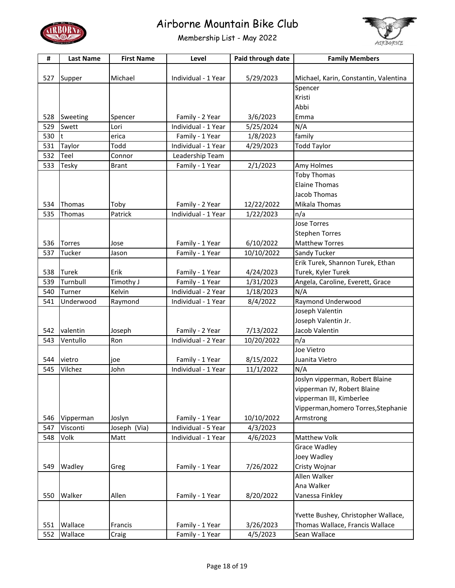



| #   | <b>Last Name</b> | <b>First Name</b> | Level               | Paid through date | <b>Family Members</b>                 |
|-----|------------------|-------------------|---------------------|-------------------|---------------------------------------|
|     |                  |                   |                     |                   |                                       |
| 527 | Supper           | Michael           | Individual - 1 Year | 5/29/2023         | Michael, Karin, Constantin, Valentina |
|     |                  |                   |                     |                   | Spencer                               |
|     |                  |                   |                     |                   | Kristi                                |
|     |                  |                   |                     |                   | Abbi                                  |
| 528 | Sweeting         | Spencer           | Family - 2 Year     | 3/6/2023          | Emma                                  |
| 529 | Swett            | Lori              | Individual - 1 Year | 5/25/2024         | N/A                                   |
| 530 | t                | erica             | Family - 1 Year     | 1/8/2023          | family                                |
| 531 | Taylor           | Todd              | Individual - 1 Year | 4/29/2023         | <b>Todd Taylor</b>                    |
| 532 | Teel             | Connor            | Leadership Team     |                   |                                       |
| 533 | Tesky            | <b>Brant</b>      | Family - 1 Year     | 2/1/2023          | Amy Holmes                            |
|     |                  |                   |                     |                   | <b>Toby Thomas</b>                    |
|     |                  |                   |                     |                   | <b>Elaine Thomas</b>                  |
|     |                  |                   |                     |                   | Jacob Thomas                          |
| 534 | Thomas           | Toby              | Family - 2 Year     | 12/22/2022        | Mikala Thomas                         |
| 535 | Thomas           | Patrick           | Individual - 1 Year | 1/22/2023         | n/a                                   |
|     |                  |                   |                     |                   | <b>Jose Torres</b>                    |
|     |                  |                   |                     |                   | <b>Stephen Torres</b>                 |
|     |                  |                   |                     |                   |                                       |
| 536 | <b>Torres</b>    | Jose              | Family - 1 Year     | 6/10/2022         | <b>Matthew Torres</b>                 |
| 537 | Tucker           | Jason             | Family - 1 Year     | 10/10/2022        | Sandy Tucker                          |
|     |                  |                   |                     |                   | Erik Turek, Shannon Turek, Ethan      |
| 538 | <b>Turek</b>     | Erik              | Family - 1 Year     | 4/24/2023         | Turek, Kyler Turek                    |
| 539 | Turnbull         | Timothy J         | Family - 1 Year     | 1/31/2023         | Angela, Caroline, Everett, Grace      |
| 540 | Turner           | Kelvin            | Individual - 2 Year | 1/18/2023         | N/A                                   |
| 541 | Underwood        | Raymond           | Individual - 1 Year | 8/4/2022          | Raymond Underwood                     |
|     |                  |                   |                     |                   | Joseph Valentin                       |
|     |                  |                   |                     |                   | Joseph Valentin Jr.                   |
| 542 | valentin         | Joseph            | Family - 2 Year     | 7/13/2022         | Jacob Valentin                        |
| 543 | Ventullo         | Ron               | Individual - 2 Year | 10/20/2022        | n/a                                   |
|     |                  |                   |                     |                   | Joe Vietro                            |
| 544 | vietro           | joe               | Family - 1 Year     | 8/15/2022         | Juanita Vietro                        |
| 545 | Vilchez          | John              | Individual - 1 Year | 11/1/2022         | N/A                                   |
|     |                  |                   |                     |                   | Joslyn vipperman, Robert Blaine       |
|     |                  |                   |                     |                   | vipperman IV, Robert Blaine           |
|     |                  |                   |                     |                   | vipperman III, Kimberlee              |
|     |                  |                   |                     |                   | Vipperman, homero Torres, Stephanie   |
| 546 | Vipperman        | Joslyn            | Family - 1 Year     | 10/10/2022        | Armstrong                             |
| 547 | Visconti         | Joseph (Via)      | Individual - 5 Year | 4/3/2023          |                                       |
| 548 | Volk             | Matt              | Individual - 1 Year | 4/6/2023          | Matthew Volk                          |
|     |                  |                   |                     |                   | <b>Grace Wadley</b>                   |
|     |                  |                   |                     |                   | Joey Wadley                           |
| 549 | Wadley           | Greg              | Family - 1 Year     | 7/26/2022         | Cristy Wojnar                         |
|     |                  |                   |                     |                   | Allen Walker                          |
|     |                  |                   |                     |                   | Ana Walker                            |
| 550 | Walker           | Allen             | Family - 1 Year     | 8/20/2022         | Vanessa Finkley                       |
|     |                  |                   |                     |                   |                                       |
|     |                  |                   |                     |                   | Yvette Bushey, Christopher Wallace,   |
| 551 | Wallace          | Francis           | Family - 1 Year     | 3/26/2023         | Thomas Wallace, Francis Wallace       |
| 552 | Wallace          | Craig             | Family - 1 Year     | 4/5/2023          | Sean Wallace                          |
|     |                  |                   |                     |                   |                                       |